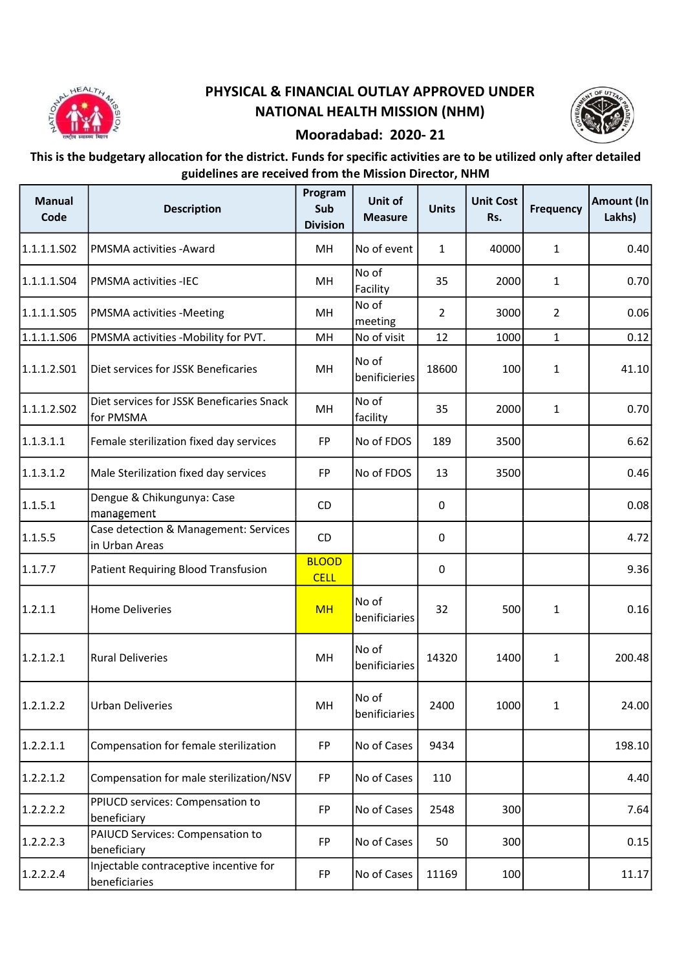

## PHYSICAL & FINANCIAL OUTLAY APPROVED UNDER NATIONAL HEALTH MISSION (NHM)



## Mooradabad: 2020- 21

## This is the budgetary allocation for the district. Funds for specific activities are to be utilized only after detailed guidelines are received from the Mission Director, NHM

| <b>Manual</b><br>Code | <b>Description</b>                                      | Program<br>Sub<br><b>Division</b> | Unit of<br><b>Measure</b> | <b>Units</b> | <b>Unit Cost</b><br>Rs. | <b>Frequency</b> | Amount (In<br>Lakhs) |
|-----------------------|---------------------------------------------------------|-----------------------------------|---------------------------|--------------|-------------------------|------------------|----------------------|
| 1.1.1.1.502           | PMSMA activities - Award                                | MH                                | No of event               | $\mathbf{1}$ | 40000                   | $\mathbf{1}$     | 0.40                 |
| 1.1.1.1.504           | <b>PMSMA</b> activities -IEC                            | MH                                | No of<br>Facility         | 35           | 2000                    | 1                | 0.70                 |
| 1.1.1.1.505           | <b>PMSMA activities -Meeting</b>                        | MН                                | No of<br>meeting          | 2            | 3000                    | $\overline{2}$   | 0.06                 |
| 1.1.1.1.S06           | PMSMA activities -Mobility for PVT.                     | MH                                | No of visit               | 12           | 1000                    | 1                | 0.12                 |
| 1.1.1.2.501           | Diet services for JSSK Beneficaries                     | MH                                | No of<br>benificieries    | 18600        | 100                     | 1                | 41.10                |
| 1.1.1.2.502           | Diet services for JSSK Beneficaries Snack<br>for PMSMA  | MH                                | No of<br>facility         | 35           | 2000                    | 1                | 0.70                 |
| 1.1.3.1.1             | Female sterilization fixed day services                 | <b>FP</b>                         | No of FDOS                | 189          | 3500                    |                  | 6.62                 |
| 1.1.3.1.2             | Male Sterilization fixed day services                   | <b>FP</b>                         | No of FDOS                | 13           | 3500                    |                  | 0.46                 |
| 1.1.5.1               | Dengue & Chikungunya: Case<br>management                | CD.                               |                           | 0            |                         |                  | 0.08                 |
| 1.1.5.5               | Case detection & Management: Services<br>in Urban Areas | CD                                |                           | $\pmb{0}$    |                         |                  | 4.72                 |
| 1.1.7.7               | Patient Requiring Blood Transfusion                     | <b>BLOOD</b><br><b>CELL</b>       |                           | 0            |                         |                  | 9.36                 |
| 1.2.1.1               | <b>Home Deliveries</b>                                  | <b>MH</b>                         | No of<br>benificiaries    | 32           | 500                     | 1                | 0.16                 |
| 1.2.1.2.1             | <b>Rural Deliveries</b>                                 | MH                                | No of<br>benificiaries    | 14320        | 1400                    | $\mathbf{1}$     | 200.48               |
| 1.2.1.2.2             | <b>Urban Deliveries</b>                                 | MH                                | No of<br>benificiaries    | 2400         | 1000                    | $\mathbf{1}$     | 24.00                |
| 1.2.2.1.1             | Compensation for female sterilization                   | <b>FP</b>                         | No of Cases               | 9434         |                         |                  | 198.10               |
| 1.2.2.1.2             | Compensation for male sterilization/NSV                 | <b>FP</b>                         | No of Cases               | 110          |                         |                  | 4.40                 |
| 1.2.2.2.2             | PPIUCD services: Compensation to<br>beneficiary         | <b>FP</b>                         | No of Cases               | 2548         | 300                     |                  | 7.64                 |
| 1.2.2.2.3             | PAIUCD Services: Compensation to<br>beneficiary         | FP                                | No of Cases               | 50           | 300                     |                  | 0.15                 |
| 1.2.2.2.4             | Injectable contraceptive incentive for<br>beneficiaries | FP                                | No of Cases               | 11169        | 100                     |                  | 11.17                |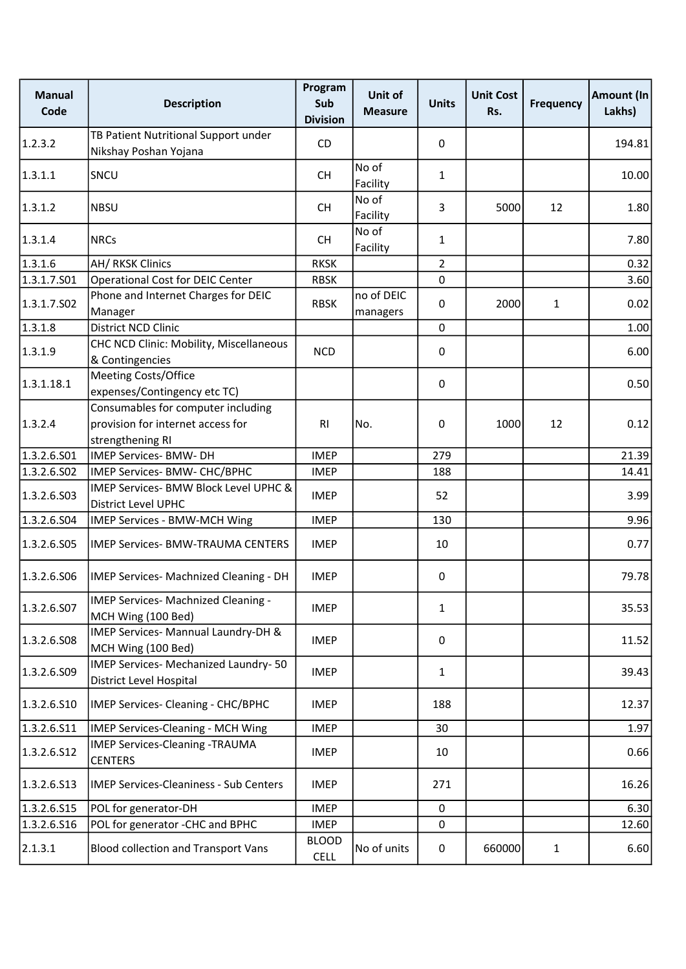| <b>Manual</b><br>Code | <b>Description</b>                                                                          | Program<br>Sub<br><b>Division</b> | Unit of<br><b>Measure</b> | <b>Units</b>   | <b>Unit Cost</b><br>Rs. | <b>Frequency</b> | Amount (In<br>Lakhs) |
|-----------------------|---------------------------------------------------------------------------------------------|-----------------------------------|---------------------------|----------------|-------------------------|------------------|----------------------|
| 1.2.3.2               | TB Patient Nutritional Support under<br>Nikshay Poshan Yojana                               | CD                                |                           | 0              |                         |                  | 194.81               |
| 1.3.1.1               | SNCU                                                                                        | <b>CH</b>                         | No of<br>Facility         | $\mathbf{1}$   |                         |                  | 10.00                |
| 1.3.1.2               | <b>NBSU</b>                                                                                 | <b>CH</b>                         | No of<br>Facility         | 3              | 5000                    | 12               | 1.80                 |
| 1.3.1.4               | <b>NRCs</b>                                                                                 | <b>CH</b>                         | No of<br>Facility         | $\mathbf{1}$   |                         |                  | 7.80                 |
| 1.3.1.6               | AH/ RKSK Clinics                                                                            | <b>RKSK</b>                       |                           | $\overline{2}$ |                         |                  | 0.32                 |
| 1.3.1.7.S01           | <b>Operational Cost for DEIC Center</b>                                                     | <b>RBSK</b>                       |                           | 0              |                         |                  | 3.60                 |
| 1.3.1.7.502           | Phone and Internet Charges for DEIC<br>Manager                                              | <b>RBSK</b>                       | no of DEIC<br>managers    | 0              | 2000                    | $\mathbf{1}$     | 0.02                 |
| 1.3.1.8               | District NCD Clinic                                                                         |                                   |                           | $\pmb{0}$      |                         |                  | 1.00                 |
| 1.3.1.9               | CHC NCD Clinic: Mobility, Miscellaneous<br>& Contingencies                                  | <b>NCD</b>                        |                           | 0              |                         |                  | 6.00                 |
| 1.3.1.18.1            | Meeting Costs/Office<br>expenses/Contingency etc TC)                                        |                                   |                           | 0              |                         |                  | 0.50                 |
| 1.3.2.4               | Consumables for computer including<br>provision for internet access for<br>strengthening RI | R <sub>l</sub>                    | No.                       | 0              | 1000                    | 12               | 0.12                 |
| 1.3.2.6.S01           | IMEP Services- BMW- DH                                                                      | <b>IMEP</b>                       |                           | 279            |                         |                  | 21.39                |
| 1.3.2.6.S02           | IMEP Services- BMW- CHC/BPHC                                                                | <b>IMEP</b>                       |                           | 188            |                         |                  | 14.41                |
| 1.3.2.6.503           | IMEP Services- BMW Block Level UPHC &<br>District Level UPHC                                | <b>IMEP</b>                       |                           | 52             |                         |                  | 3.99                 |
| 1.3.2.6.504           | <b>IMEP Services - BMW-MCH Wing</b>                                                         | <b>IMEP</b>                       |                           | 130            |                         |                  | 9.96                 |
| 1.3.2.6.S05           | <b>IMEP Services- BMW-TRAUMA CENTERS</b>                                                    | <b>IMEP</b>                       |                           | 10             |                         |                  | 0.77                 |
| 1.3.2.6.506           | IMEP Services- Machnized Cleaning - DH                                                      | <b>IMEP</b>                       |                           | 0              |                         |                  | 79.78                |
| 1.3.2.6.S07           | IMEP Services- Machnized Cleaning -<br>MCH Wing (100 Bed)                                   | <b>IMEP</b>                       |                           | $\mathbf{1}$   |                         |                  | 35.53                |
| 1.3.2.6.508           | IMEP Services- Mannual Laundry-DH &<br>MCH Wing (100 Bed)                                   | <b>IMEP</b>                       |                           | 0              |                         |                  | 11.52                |
| 1.3.2.6.509           | IMEP Services- Mechanized Laundry-50<br>District Level Hospital                             | <b>IMEP</b>                       |                           | $\mathbf{1}$   |                         |                  | 39.43                |
| 1.3.2.6.510           | IMEP Services- Cleaning - CHC/BPHC                                                          | <b>IMEP</b>                       |                           | 188            |                         |                  | 12.37                |
| 1.3.2.6.511           | <b>IMEP Services-Cleaning - MCH Wing</b>                                                    | <b>IMEP</b>                       |                           | 30             |                         |                  | 1.97                 |
| 1.3.2.6.512           | <b>IMEP Services-Cleaning -TRAUMA</b><br><b>CENTERS</b>                                     | <b>IMEP</b>                       |                           | 10             |                         |                  | 0.66                 |
| 1.3.2.6.513           | <b>IMEP Services-Cleaniness - Sub Centers</b>                                               | <b>IMEP</b>                       |                           | 271            |                         |                  | 16.26                |
| 1.3.2.6.S15           | POL for generator-DH                                                                        | <b>IMEP</b>                       |                           | $\pmb{0}$      |                         |                  | 6.30                 |
| 1.3.2.6.516           | POL for generator -CHC and BPHC                                                             | <b>IMEP</b>                       |                           | 0              |                         |                  | 12.60                |
| 2.1.3.1               | <b>Blood collection and Transport Vans</b>                                                  | <b>BLOOD</b><br><b>CELL</b>       | No of units               | $\pmb{0}$      | 660000                  | $\mathbf{1}$     | 6.60                 |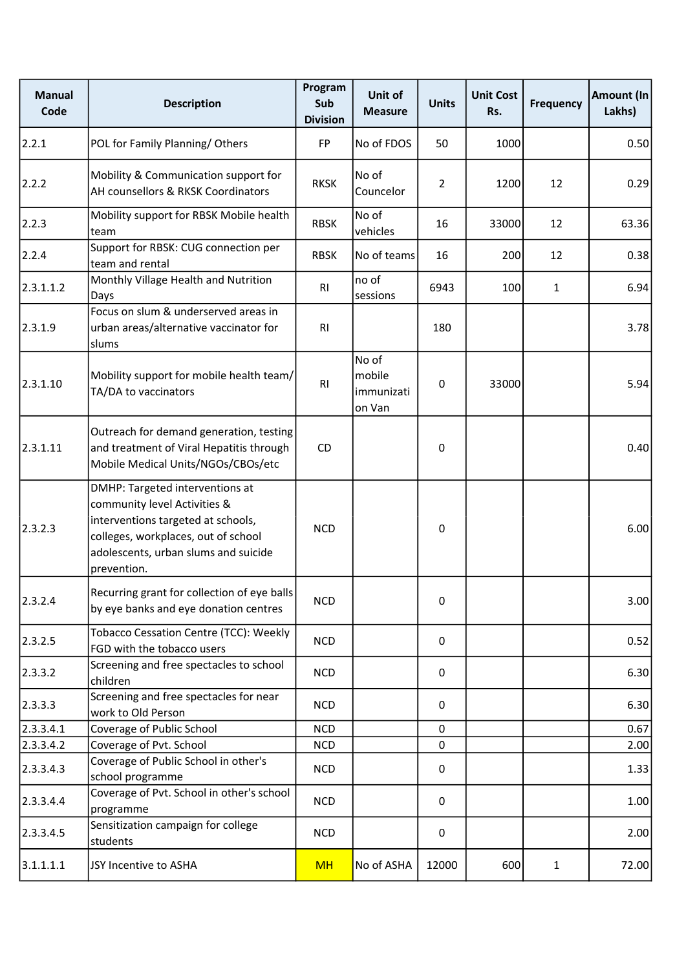| <b>Manual</b><br>Code | <b>Description</b>                                                                                                                                                                                  | Program<br>Sub<br><b>Division</b> | Unit of<br><b>Measure</b>               | <b>Units</b>   | <b>Unit Cost</b><br>Rs. | <b>Frequency</b> | Amount (In<br>Lakhs) |
|-----------------------|-----------------------------------------------------------------------------------------------------------------------------------------------------------------------------------------------------|-----------------------------------|-----------------------------------------|----------------|-------------------------|------------------|----------------------|
| 2.2.1                 | POL for Family Planning/Others                                                                                                                                                                      | <b>FP</b>                         | No of FDOS                              | 50             | 1000                    |                  | 0.50                 |
| 2.2.2                 | Mobility & Communication support for<br>AH counsellors & RKSK Coordinators                                                                                                                          | <b>RKSK</b>                       | No of<br>Councelor                      | $\overline{2}$ | 1200                    | 12               | 0.29                 |
| 2.2.3                 | Mobility support for RBSK Mobile health<br>team                                                                                                                                                     | <b>RBSK</b>                       | No of<br>vehicles                       | 16             | 33000                   | 12               | 63.36                |
| 2.2.4                 | Support for RBSK: CUG connection per<br>team and rental                                                                                                                                             | <b>RBSK</b>                       | No of teams                             | 16             | 200                     | 12               | 0.38                 |
| 2.3.1.1.2             | Monthly Village Health and Nutrition<br>Days                                                                                                                                                        | R <sub>l</sub>                    | no of<br>sessions                       | 6943           | 100                     | $\mathbf{1}$     | 6.94                 |
| 2.3.1.9               | Focus on slum & underserved areas in<br>urban areas/alternative vaccinator for<br>slums                                                                                                             | R <sub>1</sub>                    |                                         | 180            |                         |                  | 3.78                 |
| 2.3.1.10              | Mobility support for mobile health team/<br>TA/DA to vaccinators                                                                                                                                    | R <sub>l</sub>                    | No of<br>mobile<br>immunizati<br>on Van | 0              | 33000                   |                  | 5.94                 |
| 2.3.1.11              | Outreach for demand generation, testing<br>and treatment of Viral Hepatitis through<br>Mobile Medical Units/NGOs/CBOs/etc                                                                           | CD                                |                                         | 0              |                         |                  | 0.40                 |
| 2.3.2.3               | DMHP: Targeted interventions at<br>community level Activities &<br>interventions targeted at schools,<br>colleges, workplaces, out of school<br>adolescents, urban slums and suicide<br>prevention. | <b>NCD</b>                        |                                         | 0              |                         |                  | 6.00                 |
| 2.3.2.4               | Recurring grant for collection of eye balls<br>by eye banks and eye donation centres                                                                                                                | <b>NCD</b>                        |                                         | 0              |                         |                  | 3.00                 |
| 2.3.2.5               | Tobacco Cessation Centre (TCC): Weekly<br>FGD with the tobacco users                                                                                                                                | <b>NCD</b>                        |                                         | 0              |                         |                  | 0.52                 |
| 2.3.3.2               | Screening and free spectacles to school<br>children                                                                                                                                                 | <b>NCD</b>                        |                                         | 0              |                         |                  | 6.30                 |
| 2.3.3.3               | Screening and free spectacles for near<br>work to Old Person                                                                                                                                        | <b>NCD</b>                        |                                         | 0              |                         |                  | 6.30                 |
| 2.3.3.4.1             | Coverage of Public School                                                                                                                                                                           | <b>NCD</b>                        |                                         | 0              |                         |                  | 0.67                 |
| 2.3.3.4.2             | Coverage of Pvt. School                                                                                                                                                                             | <b>NCD</b>                        |                                         | $\mathbf 0$    |                         |                  | 2.00                 |
| 2.3.3.4.3             | Coverage of Public School in other's<br>school programme                                                                                                                                            | <b>NCD</b>                        |                                         | 0              |                         |                  | 1.33                 |
| 2.3.3.4.4             | Coverage of Pvt. School in other's school<br>programme                                                                                                                                              | <b>NCD</b>                        |                                         | 0              |                         |                  | 1.00                 |
| 2.3.3.4.5             | Sensitization campaign for college<br>students                                                                                                                                                      | <b>NCD</b>                        |                                         | $\pmb{0}$      |                         |                  | 2.00                 |
| 3.1.1.1.1             | JSY Incentive to ASHA                                                                                                                                                                               | <b>MH</b>                         | No of ASHA                              | 12000          | 600                     | $\mathbf{1}$     | 72.00                |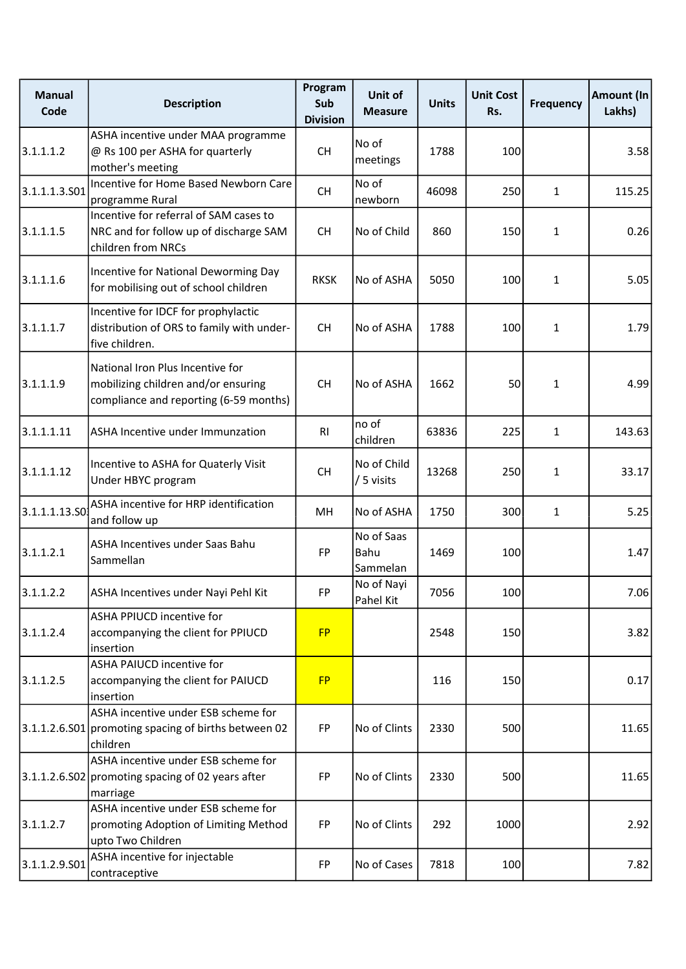| <b>Manual</b><br>Code | <b>Description</b>                                                                                                | Program<br>Sub<br><b>Division</b> | Unit of<br><b>Measure</b>      | <b>Units</b> | <b>Unit Cost</b><br>Rs. | <b>Frequency</b> | Amount (In<br>Lakhs) |
|-----------------------|-------------------------------------------------------------------------------------------------------------------|-----------------------------------|--------------------------------|--------------|-------------------------|------------------|----------------------|
| 3.1.1.1.2             | ASHA incentive under MAA programme<br>@ Rs 100 per ASHA for quarterly<br>mother's meeting                         | <b>CH</b>                         | No of<br>meetings              | 1788         | 100                     |                  | 3.58                 |
| 3.1.1.1.3.501         | Incentive for Home Based Newborn Care<br>programme Rural                                                          | <b>CH</b>                         | No of<br>newborn               | 46098        | 250                     | $\mathbf{1}$     | 115.25               |
| 3.1.1.1.5             | Incentive for referral of SAM cases to<br>NRC and for follow up of discharge SAM<br>children from NRCs            | <b>CH</b>                         | No of Child                    | 860          | 150                     | $\mathbf{1}$     | 0.26                 |
| 3.1.1.1.6             | Incentive for National Deworming Day<br>for mobilising out of school children                                     | <b>RKSK</b>                       | No of ASHA                     | 5050         | 100                     | $\mathbf{1}$     | 5.05                 |
| 3.1.1.1.7             | Incentive for IDCF for prophylactic<br>distribution of ORS to family with under-<br>five children.                | <b>CH</b>                         | No of ASHA                     | 1788         | 100                     | $\mathbf{1}$     | 1.79                 |
| 3.1.1.1.9             | National Iron Plus Incentive for<br>mobilizing children and/or ensuring<br>compliance and reporting (6-59 months) | <b>CH</b>                         | No of ASHA                     | 1662         | 50                      | $\mathbf{1}$     | 4.99                 |
| 3.1.1.1.11            | ASHA Incentive under Immunzation                                                                                  | RI                                | no of<br>children              | 63836        | 225                     | $\mathbf{1}$     | 143.63               |
| 3.1.1.1.12            | Incentive to ASHA for Quaterly Visit<br>Under HBYC program                                                        | <b>CH</b>                         | No of Child<br>/ 5 visits      | 13268        | 250                     | $\mathbf{1}$     | 33.17                |
| 3.1.1.1.13.50         | ASHA incentive for HRP identification<br>and follow up                                                            | MH                                | No of ASHA                     | 1750         | 300                     | $\mathbf{1}$     | 5.25                 |
| 3.1.1.2.1             | ASHA Incentives under Saas Bahu<br>Sammellan                                                                      | <b>FP</b>                         | No of Saas<br>Bahu<br>Sammelan | 1469         | 100                     |                  | 1.47                 |
| 3.1.1.2.2             | ASHA Incentives under Nayi Pehl Kit                                                                               | FP                                | No of Nayi<br>Pahel Kit        | 7056         | 100                     |                  | 7.06                 |
| 3.1.1.2.4             | ASHA PPIUCD incentive for<br>accompanying the client for PPIUCD<br>insertion                                      | <b>FP</b>                         |                                | 2548         | 150                     |                  | 3.82                 |
| 3.1.1.2.5             | ASHA PAIUCD incentive for<br>accompanying the client for PAIUCD<br>insertion                                      | <b>FP</b>                         |                                | 116          | 150                     |                  | 0.17                 |
|                       | ASHA incentive under ESB scheme for<br>3.1.1.2.6.S01 promoting spacing of births between 02<br>children           | <b>FP</b>                         | No of Clints                   | 2330         | 500                     |                  | 11.65                |
|                       | ASHA incentive under ESB scheme for<br>3.1.1.2.6.S02 promoting spacing of 02 years after<br>marriage              | <b>FP</b>                         | No of Clints                   | 2330         | 500                     |                  | 11.65                |
| 3.1.1.2.7             | ASHA incentive under ESB scheme for<br>promoting Adoption of Limiting Method<br>upto Two Children                 | <b>FP</b>                         | No of Clints                   | 292          | 1000                    |                  | 2.92                 |
| 3.1.1.2.9.501         | ASHA incentive for injectable<br>contraceptive                                                                    | FP                                | No of Cases                    | 7818         | 100                     |                  | 7.82                 |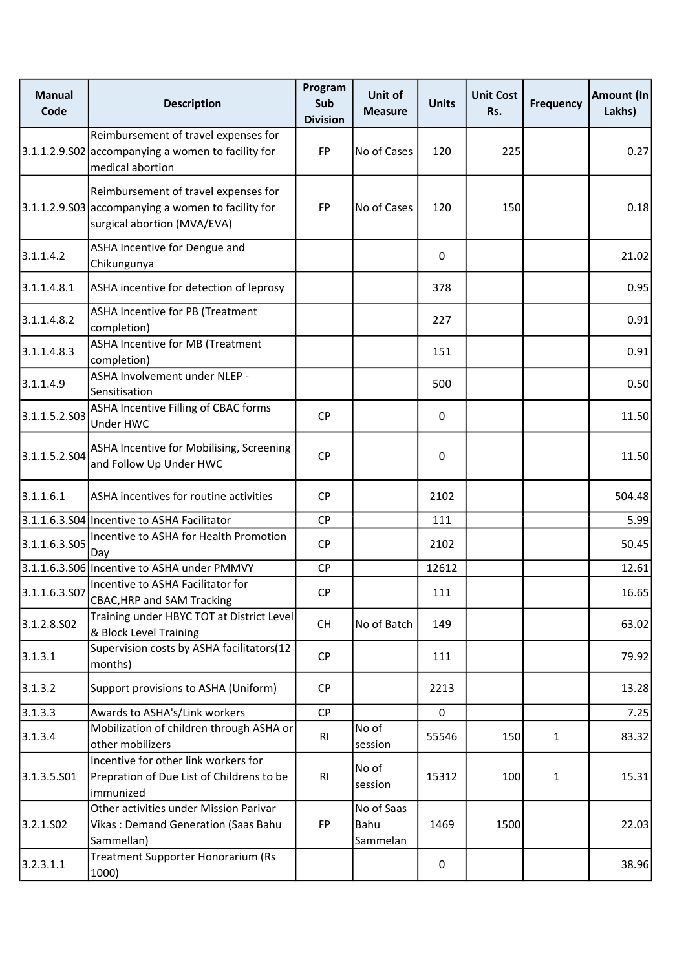| <b>Manual</b><br>Code   | <b>Description</b>                                                                                                        | Program<br>Sub<br><b>Division</b> | Unit of<br><b>Measure</b>      | <b>Units</b> | <b>Unit Cost</b><br>Rs. | <b>Frequency</b> | Amount (In<br>Lakhs) |
|-------------------------|---------------------------------------------------------------------------------------------------------------------------|-----------------------------------|--------------------------------|--------------|-------------------------|------------------|----------------------|
|                         | Reimbursement of travel expenses for<br>3.1.1.2.9.S02 accompanying a women to facility for<br>medical abortion            | <b>FP</b>                         | No of Cases                    | 120          | 225                     |                  | 0.27                 |
|                         | Reimbursement of travel expenses for<br>3.1.1.2.9.S03 accompanying a women to facility for<br>surgical abortion (MVA/EVA) | FP                                | No of Cases                    | 120          | 150                     |                  | 0.18                 |
| 3.1.1.4.2               | ASHA Incentive for Dengue and<br>Chikungunya                                                                              |                                   |                                | 0            |                         |                  | 21.02                |
| 3.1.1.4.8.1             | ASHA incentive for detection of leprosy                                                                                   |                                   |                                | 378          |                         |                  | 0.95                 |
| 3.1.1.4.8.2             | ASHA Incentive for PB (Treatment<br>completion)                                                                           |                                   |                                | 227          |                         |                  | 0.91                 |
| 3.1.1.4.8.3             | ASHA Incentive for MB (Treatment<br>completion)                                                                           |                                   |                                | 151          |                         |                  | 0.91                 |
| 3.1.1.4.9               | ASHA Involvement under NLEP -<br>Sensitisation                                                                            |                                   |                                | 500          |                         |                  | 0.50                 |
| 3.1.1.5.2.S03           | ASHA Incentive Filling of CBAC forms<br>Under HWC                                                                         | <b>CP</b>                         |                                | 0            |                         |                  | 11.50                |
| 3.1.1.5.2.504           | ASHA Incentive for Mobilising, Screening<br>and Follow Up Under HWC                                                       | CP                                |                                | $\mathbf 0$  |                         |                  | 11.50                |
| 3.1.1.6.1               | ASHA incentives for routine activities                                                                                    | <b>CP</b>                         |                                | 2102         |                         |                  | 504.48               |
|                         | 3.1.1.6.3.S04 Incentive to ASHA Facilitator                                                                               | <b>CP</b>                         |                                | 111          |                         |                  | 5.99                 |
| 3.1.1.6.3.S05           | Incentive to ASHA for Health Promotion<br>Day                                                                             | <b>CP</b>                         |                                | 2102         |                         |                  | 50.45                |
|                         | 3.1.1.6.3.S06 Incentive to ASHA under PMMVY                                                                               | <b>CP</b>                         |                                | 12612        |                         |                  | 12.61                |
|                         | 3.1.1.6.3.507 Incentive to ASHA Facilitator for<br><b>CBAC, HRP and SAM Tracking</b>                                      | <b>CP</b>                         |                                | 111          |                         |                  | 16.65                |
| 3.1.2.8.SO <sub>2</sub> | Training under HBYC TOT at District Level<br>& Block Level Training                                                       | <b>CH</b>                         | No of Batch                    | 149          |                         |                  | 63.02                |
| 3.1.3.1                 | Supervision costs by ASHA facilitators(12<br>months)                                                                      | <b>CP</b>                         |                                | 111          |                         |                  | 79.92                |
| 3.1.3.2                 | Support provisions to ASHA (Uniform)                                                                                      | <b>CP</b>                         |                                | 2213         |                         |                  | 13.28                |
| 3.1.3.3                 | Awards to ASHA's/Link workers                                                                                             | CP                                |                                | 0            |                         |                  | 7.25                 |
| 3.1.3.4                 | Mobilization of children through ASHA or<br>other mobilizers                                                              | RI                                | No of<br>session               | 55546        | 150                     | $\mathbf{1}$     | 83.32                |
| 3.1.3.5.501             | Incentive for other link workers for<br>Prepration of Due List of Childrens to be<br>immunized                            | R <sub>l</sub>                    | No of<br>session               | 15312        | 100                     | $\mathbf{1}$     | 15.31                |
| 3.2.1.502               | Other activities under Mission Parivar<br>Vikas: Demand Generation (Saas Bahu<br>Sammellan)                               | FP                                | No of Saas<br>Bahu<br>Sammelan | 1469         | 1500                    |                  | 22.03                |
| 3.2.3.1.1               | Treatment Supporter Honorarium (Rs<br>1000)                                                                               |                                   |                                | 0            |                         |                  | 38.96                |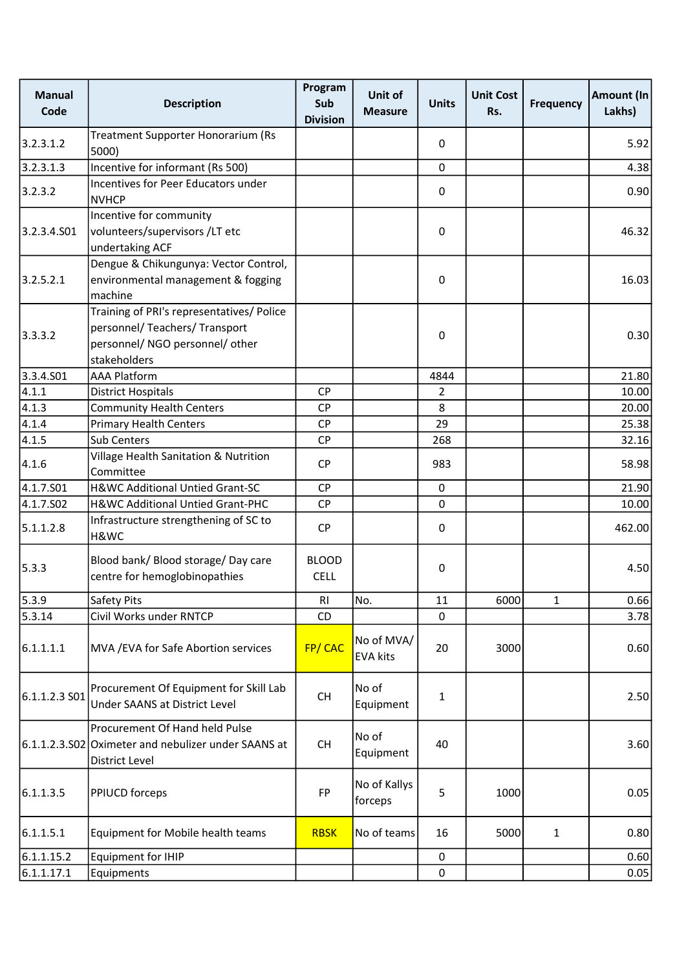| <b>Manual</b><br>Code | <b>Description</b>                                                                                                             | Program<br>Sub<br><b>Division</b> | <b>Unit of</b><br><b>Measure</b> | <b>Units</b> | <b>Unit Cost</b><br>Rs. | <b>Frequency</b> | <b>Amount (In</b><br>Lakhs) |
|-----------------------|--------------------------------------------------------------------------------------------------------------------------------|-----------------------------------|----------------------------------|--------------|-------------------------|------------------|-----------------------------|
| 3.2.3.1.2             | Treatment Supporter Honorarium (Rs<br>5000)                                                                                    |                                   |                                  | 0            |                         |                  | 5.92                        |
| 3.2.3.1.3             | Incentive for informant (Rs 500)                                                                                               |                                   |                                  | $\mathbf 0$  |                         |                  | 4.38                        |
| 3.2.3.2               | Incentives for Peer Educators under<br><b>NVHCP</b>                                                                            |                                   |                                  | 0            |                         |                  | 0.90                        |
| 3.2.3.4.S01           | Incentive for community<br>volunteers/supervisors /LT etc<br>undertaking ACF                                                   |                                   |                                  | 0            |                         |                  | 46.32                       |
| 3.2.5.2.1             | Dengue & Chikungunya: Vector Control,<br>environmental management & fogging<br>machine                                         |                                   |                                  | 0            |                         |                  | 16.03                       |
| 3.3.3.2               | Training of PRI's representatives/ Police<br>personnel/ Teachers/ Transport<br>personnel/ NGO personnel/ other<br>stakeholders |                                   |                                  | 0            |                         |                  | 0.30                        |
| 3.3.4.S01             | <b>AAA Platform</b>                                                                                                            |                                   |                                  | 4844         |                         |                  | 21.80                       |
| 4.1.1                 | <b>District Hospitals</b>                                                                                                      | <b>CP</b>                         |                                  | 2            |                         |                  | 10.00                       |
| 4.1.3                 | <b>Community Health Centers</b>                                                                                                | <b>CP</b>                         |                                  | 8            |                         |                  | 20.00                       |
| 4.1.4                 | <b>Primary Health Centers</b>                                                                                                  | CP                                |                                  | 29           |                         |                  | 25.38                       |
| 4.1.5                 | <b>Sub Centers</b>                                                                                                             | <b>CP</b>                         |                                  | 268          |                         |                  | 32.16                       |
| 4.1.6                 | Village Health Sanitation & Nutrition<br>Committee                                                                             | <b>CP</b>                         |                                  | 983          |                         |                  | 58.98                       |
| 4.1.7.S01             | H&WC Additional Untied Grant-SC                                                                                                | <b>CP</b>                         |                                  | $\pmb{0}$    |                         |                  | 21.90                       |
| 4.1.7.S02             | H&WC Additional Untied Grant-PHC                                                                                               | <b>CP</b>                         |                                  | $\Omega$     |                         |                  | 10.00                       |
| 5.1.1.2.8             | Infrastructure strengthening of SC to<br>H&WC                                                                                  | <b>CP</b>                         |                                  | 0            |                         |                  | 462.00                      |
| 5.3.3                 | Blood bank/ Blood storage/ Day care<br>centre for hemoglobinopathies                                                           | <b>BLOOD</b><br><b>CELL</b>       |                                  | 0            |                         |                  | 4.50                        |
| 5.3.9                 | Safety Pits                                                                                                                    | R1                                | No.                              | 11           | 6000                    | $\mathbf{1}$     | 0.66                        |
| 5.3.14                | Civil Works under RNTCP                                                                                                        | <b>CD</b>                         |                                  | $\Omega$     |                         |                  | 3.78                        |
| 6.1.1.1.1             | MVA / EVA for Safe Abortion services                                                                                           | FP/CAC                            | No of MVA/<br><b>EVA kits</b>    | 20           | 3000                    |                  | 0.60                        |
| 6.1.1.2.3 SO1         | Procurement Of Equipment for Skill Lab<br><b>Under SAANS at District Level</b>                                                 | CH                                | No of<br>Equipment               | 1            |                         |                  | 2.50                        |
|                       | Procurement Of Hand held Pulse<br>6.1.1.2.3.S02 Oximeter and nebulizer under SAANS at<br>District Level                        | CH                                | No of<br>Equipment               | 40           |                         |                  | 3.60                        |
| 6.1.1.3.5             | <b>PPIUCD forceps</b>                                                                                                          | <b>FP</b>                         | No of Kallys<br>forceps          | 5            | 1000                    |                  | 0.05                        |
| 6.1.1.5.1             | Equipment for Mobile health teams                                                                                              | <b>RBSK</b>                       | No of teams                      | 16           | 5000                    | $\mathbf{1}$     | 0.80                        |
| 6.1.1.15.2            | Equipment for IHIP                                                                                                             |                                   |                                  | 0            |                         |                  | 0.60                        |
| 6.1.1.17.1            | Equipments                                                                                                                     |                                   |                                  | 0            |                         |                  | 0.05                        |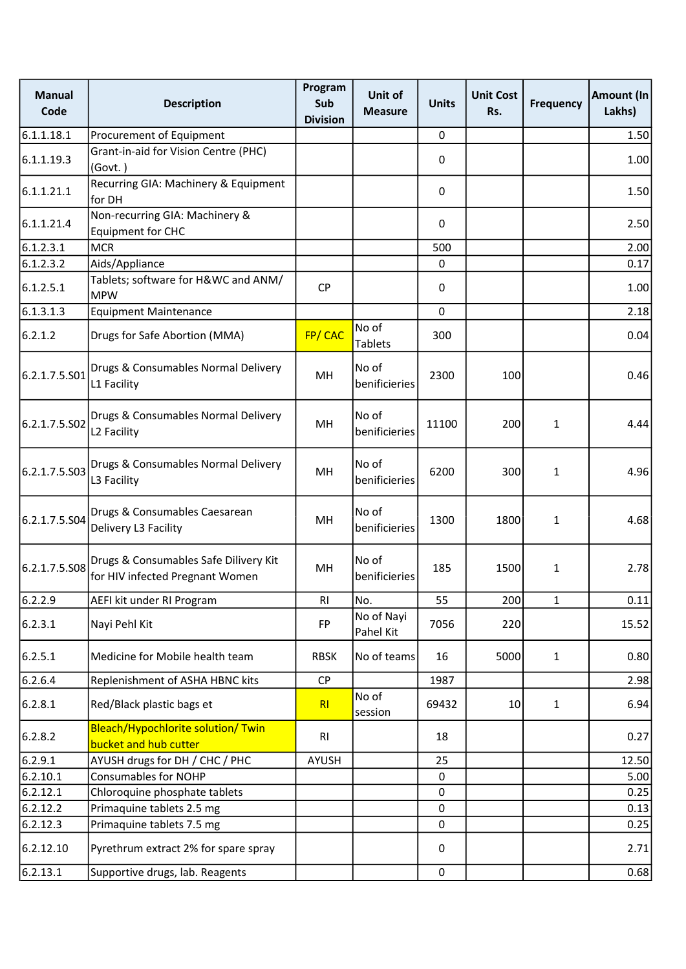| <b>Manual</b><br>Code | <b>Description</b>                                                       | Program<br>Sub<br><b>Division</b> | Unit of<br>Measure      | <b>Units</b> | <b>Unit Cost</b><br>Rs. | <b>Frequency</b> | Amount (In<br>Lakhs) |
|-----------------------|--------------------------------------------------------------------------|-----------------------------------|-------------------------|--------------|-------------------------|------------------|----------------------|
| 6.1.1.18.1            | Procurement of Equipment                                                 |                                   |                         | 0            |                         |                  | 1.50                 |
| 6.1.1.19.3            | Grant-in-aid for Vision Centre (PHC)<br>(Govt.)                          |                                   |                         | 0            |                         |                  | 1.00                 |
| 6.1.1.21.1            | Recurring GIA: Machinery & Equipment<br>for DH                           |                                   |                         | 0            |                         |                  | 1.50                 |
| 6.1.1.21.4            | Non-recurring GIA: Machinery &<br><b>Equipment for CHC</b>               |                                   |                         | 0            |                         |                  | 2.50                 |
| 6.1.2.3.1             | <b>MCR</b>                                                               |                                   |                         | 500          |                         |                  | 2.00                 |
| 6.1.2.3.2             | Aids/Appliance                                                           |                                   |                         | 0            |                         |                  | 0.17                 |
| 6.1.2.5.1             | Tablets; software for H&WC and ANM/<br><b>MPW</b>                        | <b>CP</b>                         |                         | 0            |                         |                  | 1.00                 |
| 6.1.3.1.3             | <b>Equipment Maintenance</b>                                             |                                   |                         | $\mathbf 0$  |                         |                  | 2.18                 |
| 6.2.1.2               | Drugs for Safe Abortion (MMA)                                            | FP/CAC                            | No of<br><b>Tablets</b> | 300          |                         |                  | 0.04                 |
| 6.2.1.7.5.S01         | Drugs & Consumables Normal Delivery<br>L1 Facility                       | MH                                | No of<br>benificieries  | 2300         | 100                     |                  | 0.46                 |
| 6.2.1.7.5.S02         | Drugs & Consumables Normal Delivery<br>L <sub>2</sub> Facility           | MH                                | No of<br>benificieries  | 11100        | 200                     | $\mathbf{1}$     | 4.44                 |
| 6.2.1.7.5.S03         | Drugs & Consumables Normal Delivery<br>L3 Facility                       | MH                                | No of<br>benificieries  | 6200         | 300                     | 1                | 4.96                 |
| 6.2.1.7.5.S04         | Drugs & Consumables Caesarean<br>Delivery L3 Facility                    | MH                                | No of<br>benificieries  | 1300         | 1800                    | $\mathbf{1}$     | 4.68                 |
| 6.2.1.7.5.S08         | Drugs & Consumables Safe Dilivery Kit<br>for HIV infected Pregnant Women | MH                                | No of<br>benificieries  | 185          | 1500                    | $\mathbf{1}$     | 2.78                 |
| 6.2.2.9               | AEFI kit under RI Program                                                | R <sub>l</sub>                    | No.                     | 55           | 200                     | $\mathbf{1}$     | 0.11                 |
| 6.2.3.1               | Nayi Pehl Kit                                                            | FP                                | No of Nayi<br>Pahel Kit | 7056         | 220                     |                  | 15.52                |
| 6.2.5.1               | Medicine for Mobile health team                                          | <b>RBSK</b>                       | No of teams             | 16           | 5000                    | $\mathbf{1}$     | 0.80                 |
| 6.2.6.4               | Replenishment of ASHA HBNC kits                                          | <b>CP</b>                         |                         | 1987         |                         |                  | 2.98                 |
| 6.2.8.1               | Red/Black plastic bags et                                                | RI                                | No of<br>session        | 69432        | 10                      | $\mathbf{1}$     | 6.94                 |
| 6.2.8.2               | Bleach/Hypochlorite solution/ Twin<br>bucket and hub cutter              | RI                                |                         | 18           |                         |                  | 0.27                 |
| 6.2.9.1               | AYUSH drugs for DH / CHC / PHC                                           | AYUSH                             |                         | 25           |                         |                  | 12.50                |
| 6.2.10.1              | <b>Consumables for NOHP</b>                                              |                                   |                         | 0            |                         |                  | 5.00                 |
| 6.2.12.1              | Chloroquine phosphate tablets                                            |                                   |                         | $\pmb{0}$    |                         |                  | 0.25                 |
| 6.2.12.2              | Primaquine tablets 2.5 mg                                                |                                   |                         | $\pmb{0}$    |                         |                  | 0.13                 |
| 6.2.12.3              | Primaquine tablets 7.5 mg                                                |                                   |                         | $\pmb{0}$    |                         |                  | 0.25                 |
| 6.2.12.10             | Pyrethrum extract 2% for spare spray                                     |                                   |                         | 0            |                         |                  | 2.71                 |
| 6.2.13.1              | Supportive drugs, lab. Reagents                                          |                                   |                         | $\pmb{0}$    |                         |                  | 0.68                 |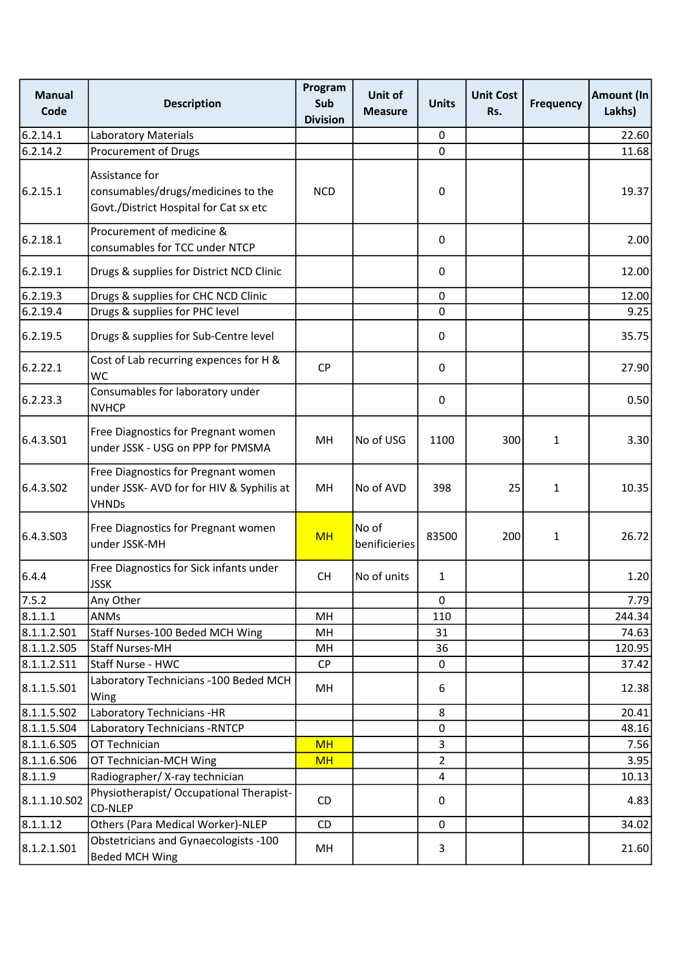| <b>Manual</b><br>Code | <b>Description</b>                                                                               | Program<br>Sub<br><b>Division</b> | Unit of<br><b>Measure</b> | <b>Units</b>   | <b>Unit Cost</b><br>Rs. | <b>Frequency</b> | <b>Amount (In</b><br>Lakhs) |
|-----------------------|--------------------------------------------------------------------------------------------------|-----------------------------------|---------------------------|----------------|-------------------------|------------------|-----------------------------|
| 6.2.14.1              | <b>Laboratory Materials</b>                                                                      |                                   |                           | 0              |                         |                  | 22.60                       |
| 6.2.14.2              | Procurement of Drugs                                                                             |                                   |                           | $\mathbf 0$    |                         |                  | 11.68                       |
| 6.2.15.1              | Assistance for<br>consumables/drugs/medicines to the<br>Govt./District Hospital for Cat sx etc   | <b>NCD</b>                        |                           | 0              |                         |                  | 19.37                       |
| 6.2.18.1              | Procurement of medicine &<br>consumables for TCC under NTCP                                      |                                   |                           | 0              |                         |                  | 2.00                        |
| 6.2.19.1              | Drugs & supplies for District NCD Clinic                                                         |                                   |                           | $\mathbf 0$    |                         |                  | 12.00                       |
| 6.2.19.3              | Drugs & supplies for CHC NCD Clinic                                                              |                                   |                           | $\mathbf 0$    |                         |                  | 12.00                       |
| 6.2.19.4              | Drugs & supplies for PHC level                                                                   |                                   |                           | $\mathbf 0$    |                         |                  | 9.25                        |
| 6.2.19.5              | Drugs & supplies for Sub-Centre level                                                            |                                   |                           | 0              |                         |                  | 35.75                       |
| 6.2.22.1              | Cost of Lab recurring expences for H &<br>WC                                                     | <b>CP</b>                         |                           | $\mathbf 0$    |                         |                  | 27.90                       |
| 6.2.23.3              | Consumables for laboratory under<br><b>NVHCP</b>                                                 |                                   |                           | 0              |                         |                  | 0.50                        |
| 6.4.3.S01             | Free Diagnostics for Pregnant women<br>under JSSK - USG on PPP for PMSMA                         | MH                                | No of USG                 | 1100           | 300                     | $\mathbf{1}$     | 3.30                        |
| 6.4.3.SO <sub>2</sub> | Free Diagnostics for Pregnant women<br>under JSSK- AVD for for HIV & Syphilis at<br><b>VHNDs</b> | MH                                | No of AVD                 | 398            | 25                      | $\mathbf{1}$     | 10.35                       |
| 6.4.3.S03             | Free Diagnostics for Pregnant women<br>under JSSK-MH                                             | <b>MH</b>                         | No of<br>benificieries    | 83500          | 200                     | 1                | 26.72                       |
| 6.4.4                 | Free Diagnostics for Sick infants under<br><b>JSSK</b>                                           | <b>CH</b>                         | No of units               | $\mathbf{1}$   |                         |                  | 1.20                        |
| 7.5.2                 | Any Other                                                                                        |                                   |                           | 0              |                         |                  | 7.79                        |
| 8.1.1.1               | <b>ANMs</b>                                                                                      | MH                                |                           | 110            |                         |                  | 244.34                      |
| 8.1.1.2.501           | Staff Nurses-100 Beded MCH Wing                                                                  | MН                                |                           | 31             |                         |                  | 74.63                       |
| 8.1.1.2.505           | Staff Nurses-MH                                                                                  | MH                                |                           | 36             |                         |                  | 120.95                      |
| 8.1.1.2.511           | Staff Nurse - HWC                                                                                | <b>CP</b>                         |                           | 0              |                         |                  | 37.42                       |
| 8.1.1.5.501           | Laboratory Technicians - 100 Beded MCH<br>Wing                                                   | MH                                |                           | 6              |                         |                  | 12.38                       |
| 8.1.1.5.502           | Laboratory Technicians -HR                                                                       |                                   |                           | 8              |                         |                  | 20.41                       |
| 8.1.1.5.504           | Laboratory Technicians - RNTCP                                                                   |                                   |                           | 0              |                         |                  | 48.16                       |
| 8.1.1.6.505           | OT Technician                                                                                    | <b>MH</b>                         |                           | 3              |                         |                  | 7.56                        |
| 8.1.1.6.506           | OT Technician-MCH Wing                                                                           | <b>MH</b>                         |                           | $\overline{2}$ |                         |                  | 3.95                        |
| 8.1.1.9               | Radiographer/ X-ray technician                                                                   |                                   |                           | $\overline{4}$ |                         |                  | 10.13                       |
| 8.1.1.10.S02          | Physiotherapist/ Occupational Therapist-<br>CD-NLEP                                              | CD                                |                           | 0              |                         |                  | 4.83                        |
| 8.1.1.12              | Others (Para Medical Worker)-NLEP                                                                | CD                                |                           | $\mathbf 0$    |                         |                  | 34.02                       |
| 8.1.2.1.501           | Obstetricians and Gynaecologists -100<br><b>Beded MCH Wing</b>                                   | MH                                |                           | 3              |                         |                  | 21.60                       |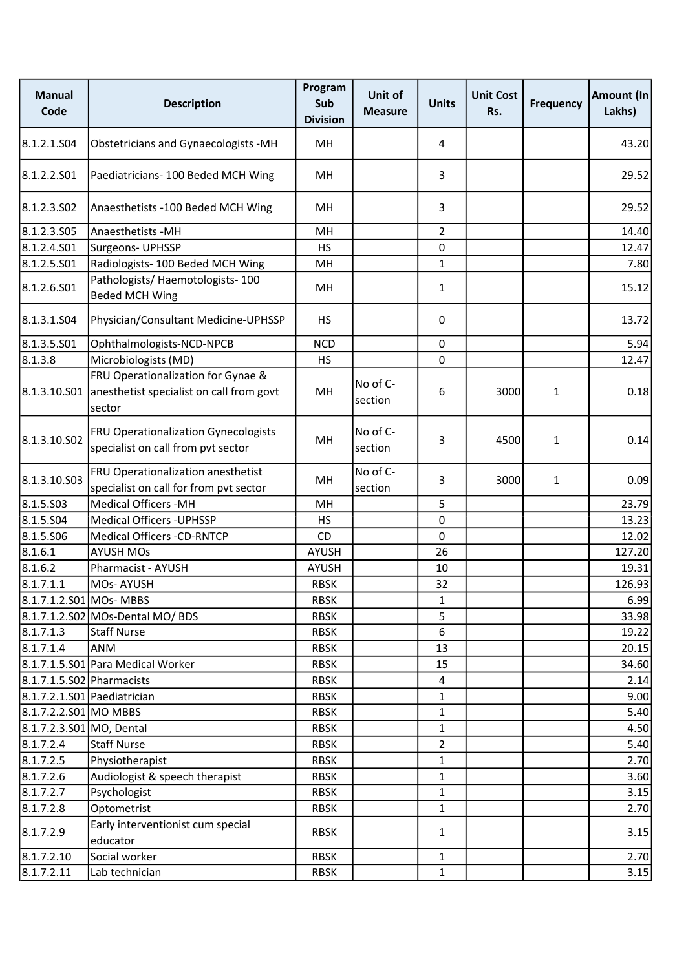| <b>Manual</b><br>Code       | <b>Description</b>                                                                                    | Program<br>Sub<br><b>Division</b> | Unit of<br><b>Measure</b> | <b>Units</b>   | <b>Unit Cost</b><br>Rs. | <b>Frequency</b> | Amount (In<br>Lakhs) |
|-----------------------------|-------------------------------------------------------------------------------------------------------|-----------------------------------|---------------------------|----------------|-------------------------|------------------|----------------------|
| 8.1.2.1.S04                 | Obstetricians and Gynaecologists -MH                                                                  | MH                                |                           | 4              |                         |                  | 43.20                |
| 8.1.2.2.S01                 | Paediatricians- 100 Beded MCH Wing                                                                    | MН                                |                           | 3              |                         |                  | 29.52                |
| 8.1.2.3.502                 | Anaesthetists -100 Beded MCH Wing                                                                     | MH                                |                           | 3              |                         |                  | 29.52                |
| 8.1.2.3.505                 | Anaesthetists - MH                                                                                    | MH                                |                           | $\overline{2}$ |                         |                  | 14.40                |
| 8.1.2.4.501                 | Surgeons- UPHSSP                                                                                      | <b>HS</b>                         |                           | 0              |                         |                  | 12.47                |
| 8.1.2.5.501                 | Radiologists- 100 Beded MCH Wing                                                                      | MH                                |                           | $\mathbf{1}$   |                         |                  | 7.80                 |
| 8.1.2.6.501                 | Pathologists/ Haemotologists- 100<br><b>Beded MCH Wing</b>                                            | MH                                |                           | $\mathbf{1}$   |                         |                  | 15.12                |
| 8.1.3.1.S04                 | Physician/Consultant Medicine-UPHSSP                                                                  | <b>HS</b>                         |                           | 0              |                         |                  | 13.72                |
| 8.1.3.5.S01                 | Ophthalmologists-NCD-NPCB                                                                             | <b>NCD</b>                        |                           | 0              |                         |                  | 5.94                 |
| 8.1.3.8                     | Microbiologists (MD)                                                                                  | <b>HS</b>                         |                           | $\Omega$       |                         |                  | 12.47                |
|                             | FRU Operationalization for Gynae &<br>8.1.3.10.501 anesthetist specialist on call from govt<br>sector | MH                                | No of C-<br>section       | 6              | 3000                    | 1                | 0.18                 |
| 8.1.3.10.S02                | <b>FRU Operationalization Gynecologists</b><br>specialist on call from pvt sector                     | MH                                | No of C-<br>section       | 3              | 4500                    | 1                | 0.14                 |
| 8.1.3.10.S03                | FRU Operationalization anesthetist<br>specialist on call for from pvt sector                          | MH                                | No of C-<br>section       | 3              | 3000                    | $\mathbf{1}$     | 0.09                 |
| 8.1.5.503                   | <b>Medical Officers -MH</b>                                                                           | MH                                |                           | 5              |                         |                  | 23.79                |
| 8.1.5.504                   | <b>Medical Officers - UPHSSP</b>                                                                      | <b>HS</b>                         |                           | 0              |                         |                  | 13.23                |
| 8.1.5.S06                   | <b>Medical Officers -CD-RNTCP</b>                                                                     | CD                                |                           | 0              |                         |                  | 12.02                |
| 8.1.6.1                     | <b>AYUSH MOs</b>                                                                                      | <b>AYUSH</b>                      |                           | 26             |                         |                  | 127.20               |
| 8.1.6.2                     | Pharmacist - AYUSH                                                                                    | <b>AYUSH</b>                      |                           | 10             |                         |                  | 19.31                |
| 8.1.7.1.1                   | <b>MOs-AYUSH</b>                                                                                      | <b>RBSK</b>                       |                           | 32             |                         |                  | 126.93               |
| 8.1.7.1.2.S01 MOs- MBBS     |                                                                                                       | <b>RBSK</b>                       |                           | 1              |                         |                  | 6.99                 |
|                             | 8.1.7.1.2.S02 MOs-Dental MO/ BDS                                                                      | <b>RBSK</b>                       |                           | 5              |                         |                  | 33.98                |
| 8.1.7.1.3                   | <b>Staff Nurse</b>                                                                                    | <b>RBSK</b>                       |                           | 6              |                         |                  | 19.22                |
| 8.1.7.1.4                   | <b>ANM</b>                                                                                            | <b>RBSK</b>                       |                           | 13             |                         |                  | 20.15                |
|                             | 8.1.7.1.5.S01 Para Medical Worker                                                                     | <b>RBSK</b>                       |                           | 15             |                         |                  | 34.60                |
| 8.1.7.1.5.S02 Pharmacists   |                                                                                                       | <b>RBSK</b>                       |                           | 4              |                         |                  | 2.14                 |
| 8.1.7.2.1.S01 Paediatrician |                                                                                                       | <b>RBSK</b>                       |                           | $\mathbf{1}$   |                         |                  | 9.00                 |
| 8.1.7.2.2.S01 MO MBBS       |                                                                                                       | <b>RBSK</b>                       |                           | $\mathbf{1}$   |                         |                  | 5.40                 |
| 8.1.7.2.3.S01 MO, Dental    |                                                                                                       | <b>RBSK</b>                       |                           | $\mathbf{1}$   |                         |                  | 4.50                 |
| 8.1.7.2.4                   | <b>Staff Nurse</b>                                                                                    | <b>RBSK</b>                       |                           | $\overline{2}$ |                         |                  | 5.40                 |
| 8.1.7.2.5                   | Physiotherapist                                                                                       | <b>RBSK</b>                       |                           | $\mathbf{1}$   |                         |                  | 2.70                 |
| 8.1.7.2.6                   | Audiologist & speech therapist                                                                        | <b>RBSK</b>                       |                           | $\mathbf{1}$   |                         |                  | 3.60                 |
| 8.1.7.2.7                   | Psychologist                                                                                          | <b>RBSK</b>                       |                           | $\mathbf{1}$   |                         |                  | 3.15                 |
| 8.1.7.2.8                   | Optometrist                                                                                           | <b>RBSK</b>                       |                           | $\mathbf{1}$   |                         |                  | 2.70                 |
| 8.1.7.2.9                   | Early interventionist cum special<br>educator                                                         | <b>RBSK</b>                       |                           | $\mathbf{1}$   |                         |                  | 3.15                 |
| 8.1.7.2.10                  | Social worker                                                                                         | <b>RBSK</b>                       |                           | $\mathbf{1}$   |                         |                  | 2.70                 |
| 8.1.7.2.11                  | Lab technician                                                                                        | RBSK                              |                           | $\mathbf 1$    |                         |                  | 3.15                 |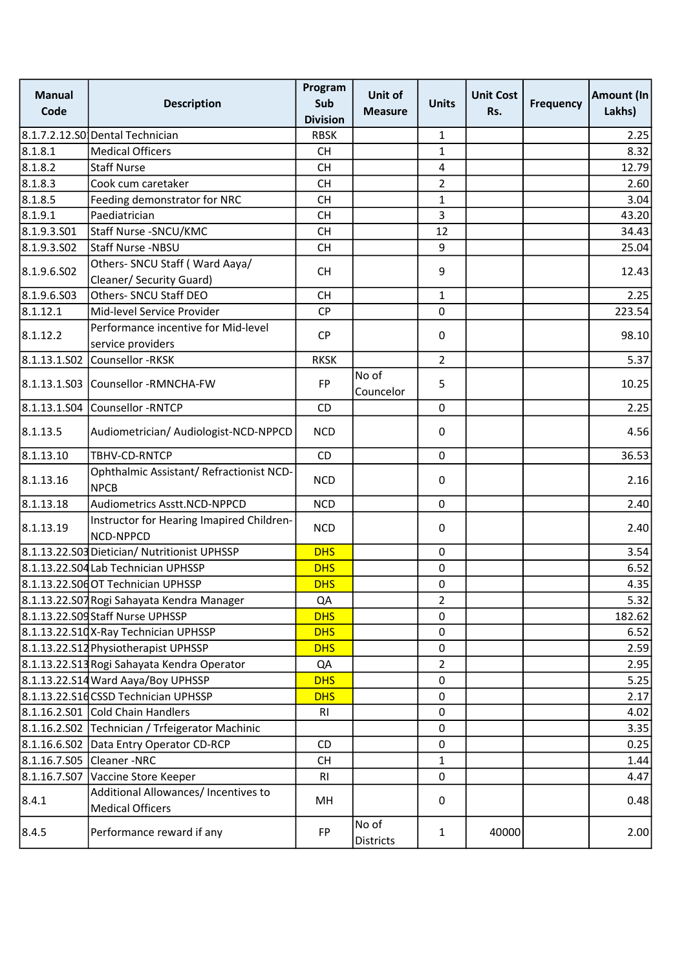| <b>Manual</b><br>Code | <b>Description</b>                                              | Program<br>Sub<br><b>Division</b> | Unit of<br><b>Measure</b> | <b>Units</b>     | <b>Unit Cost</b><br>Rs. | <b>Frequency</b> | Amount (In<br>Lakhs) |
|-----------------------|-----------------------------------------------------------------|-----------------------------------|---------------------------|------------------|-------------------------|------------------|----------------------|
|                       | 8.1.7.2.12.S0 Dental Technician                                 | <b>RBSK</b>                       |                           | 1                |                         |                  | 2.25                 |
| 8.1.8.1               | <b>Medical Officers</b>                                         | <b>CH</b>                         |                           | $\mathbf{1}$     |                         |                  | 8.32                 |
| 8.1.8.2               | <b>Staff Nurse</b>                                              | <b>CH</b>                         |                           | 4                |                         |                  | 12.79                |
| 8.1.8.3               | Cook cum caretaker                                              | <b>CH</b>                         |                           | $\overline{2}$   |                         |                  | 2.60                 |
| 8.1.8.5               | Feeding demonstrator for NRC                                    | <b>CH</b>                         |                           | $\mathbf{1}$     |                         |                  | 3.04                 |
| 8.1.9.1               | Paediatrician                                                   | <b>CH</b>                         |                           | 3                |                         |                  | 43.20                |
| 8.1.9.3.501           | Staff Nurse - SNCU/KMC                                          | <b>CH</b>                         |                           | 12               |                         |                  | 34.43                |
| 8.1.9.3.502           | Staff Nurse -NBSU                                               | <b>CH</b>                         |                           | 9                |                         |                  | 25.04                |
| 8.1.9.6.502           | Others- SNCU Staff (Ward Aaya/<br>Cleaner/ Security Guard)      | <b>CH</b>                         |                           | $\boldsymbol{9}$ |                         |                  | 12.43                |
| 8.1.9.6.503           | Others- SNCU Staff DEO                                          | <b>CH</b>                         |                           | 1                |                         |                  | 2.25                 |
| 8.1.12.1              | Mid-level Service Provider                                      | <b>CP</b>                         |                           | 0                |                         |                  | 223.54               |
|                       | Performance incentive for Mid-level                             |                                   |                           |                  |                         |                  |                      |
| 8.1.12.2              | service providers                                               | <b>CP</b>                         |                           | 0                |                         |                  | 98.10                |
|                       | 8.1.13.1.S02 Counsellor -RKSK                                   | <b>RKSK</b>                       |                           | $\overline{2}$   |                         |                  | 5.37                 |
|                       | 8.1.13.1.S03 Counsellor -RMNCHA-FW                              | <b>FP</b>                         | No of<br>Councelor        | 5                |                         |                  | 10.25                |
|                       | 8.1.13.1.S04 Counsellor -RNTCP                                  | <b>CD</b>                         |                           | 0                |                         |                  | 2.25                 |
| 8.1.13.5              | Audiometrician/ Audiologist-NCD-NPPCD                           | <b>NCD</b>                        |                           | 0                |                         |                  | 4.56                 |
| 8.1.13.10             | TBHV-CD-RNTCP                                                   | <b>CD</b>                         |                           | $\mathbf 0$      |                         |                  | 36.53                |
| 8.1.13.16             | Ophthalmic Assistant/ Refractionist NCD-<br><b>NPCB</b>         | <b>NCD</b>                        |                           | 0                |                         |                  | 2.16                 |
| 8.1.13.18             | Audiometrics Asstt.NCD-NPPCD                                    | <b>NCD</b>                        |                           | $\mathbf 0$      |                         |                  | 2.40                 |
| 8.1.13.19             | Instructor for Hearing Imapired Children-<br>NCD-NPPCD          | <b>NCD</b>                        |                           | 0                |                         |                  | 2.40                 |
|                       | 8.1.13.22.S03 Dietician/ Nutritionist UPHSSP                    | <b>DHS</b>                        |                           | $\mathbf 0$      |                         |                  | 3.54                 |
|                       | 8.1.13.22.S04 Lab Technician UPHSSP                             | <b>DHS</b>                        |                           | $\pmb{0}$        |                         |                  | 6.52                 |
|                       | 8.1.13.22.S06 OT Technician UPHSSP                              | <b>DHS</b>                        |                           | $\pmb{0}$        |                         |                  | 4.35                 |
|                       | 8.1.13.22.S07 Rogi Sahayata Kendra Manager                      | QA                                |                           | $\overline{2}$   |                         |                  | 5.32                 |
|                       | 8.1.13.22.S09 Staff Nurse UPHSSP                                | <b>DHS</b>                        |                           | $\mathbf 0$      |                         |                  | 182.62               |
|                       | 8.1.13.22.S10X-Ray Technician UPHSSP                            | <b>DHS</b>                        |                           | $\pmb{0}$        |                         |                  | 6.52                 |
|                       | 8.1.13.22.512 Physiotherapist UPHSSP                            | <b>DHS</b>                        |                           | $\mathbf 0$      |                         |                  | 2.59                 |
|                       | 8.1.13.22.S13 Rogi Sahayata Kendra Operator                     | QA                                |                           | $\overline{2}$   |                         |                  | 2.95                 |
|                       | 8.1.13.22.S14 Ward Aaya/Boy UPHSSP                              | <b>DHS</b>                        |                           | 0                |                         |                  | 5.25                 |
|                       | 8.1.13.22.S1dCSSD Technician UPHSSP                             | <b>DHS</b>                        |                           | $\pmb{0}$        |                         |                  | 2.17                 |
|                       | 8.1.16.2.S01 Cold Chain Handlers                                | R1                                |                           | $\mathbf 0$      |                         |                  | 4.02                 |
|                       | 8.1.16.2.S02 Technician / Trfeigerator Machinic                 |                                   |                           | $\pmb{0}$        |                         |                  | 3.35                 |
|                       | 8.1.16.6.S02 Data Entry Operator CD-RCP                         | CD                                |                           | 0                |                         |                  | 0.25                 |
|                       | 8.1.16.7.S05 Cleaner -NRC                                       | <b>CH</b>                         |                           | $\mathbf{1}$     |                         |                  | 1.44                 |
|                       | 8.1.16.7.S07 Vaccine Store Keeper                               | R <sub>l</sub>                    |                           | 0                |                         |                  | 4.47                 |
| 8.4.1                 | Additional Allowances/ Incentives to<br><b>Medical Officers</b> | MH                                |                           | 0                |                         |                  | 0.48                 |
| 8.4.5                 | Performance reward if any                                       | <b>FP</b>                         | No of<br>Districts        | $\mathbf{1}$     | 40000                   |                  | 2.00                 |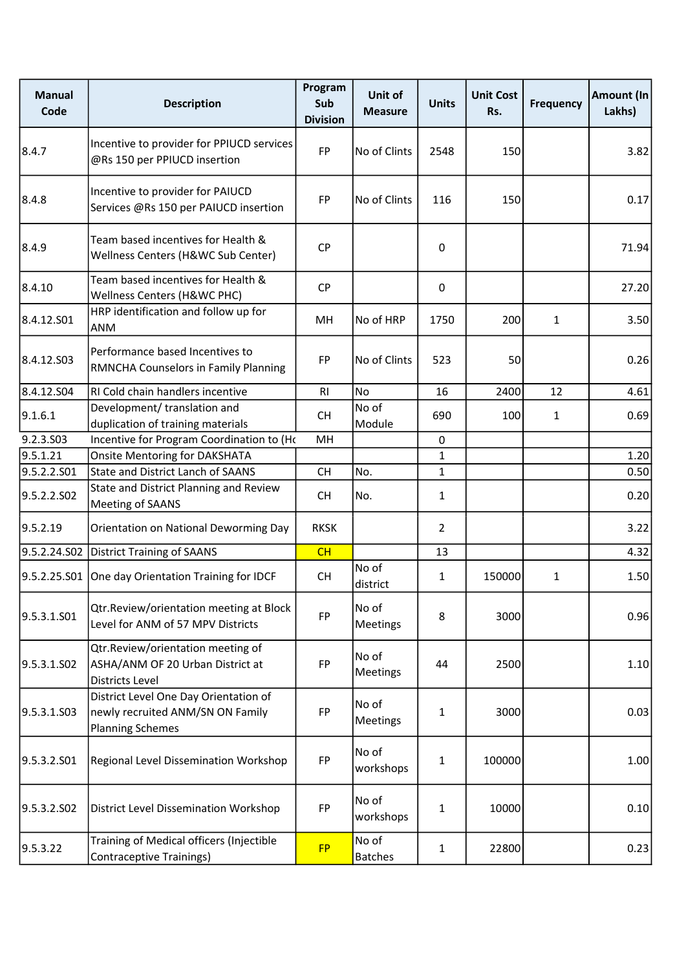| <b>Manual</b><br>Code   | <b>Description</b>                                                                                   | Program<br>Sub<br><b>Division</b> | Unit of<br><b>Measure</b> | <b>Units</b>   | <b>Unit Cost</b><br>Rs. | <b>Frequency</b> | Amount (In<br>Lakhs) |
|-------------------------|------------------------------------------------------------------------------------------------------|-----------------------------------|---------------------------|----------------|-------------------------|------------------|----------------------|
| 8.4.7                   | Incentive to provider for PPIUCD services<br>@Rs 150 per PPIUCD insertion                            | <b>FP</b>                         | No of Clints              | 2548           | 150                     |                  | 3.82                 |
| 8.4.8                   | Incentive to provider for PAIUCD<br>Services @Rs 150 per PAIUCD insertion                            | FP                                | No of Clints              | 116            | 150                     |                  | 0.17                 |
| 8.4.9                   | Team based incentives for Health &<br>Wellness Centers (H&WC Sub Center)                             | <b>CP</b>                         |                           | 0              |                         |                  | 71.94                |
| 8.4.10                  | Team based incentives for Health &<br>Wellness Centers (H&WC PHC)                                    | <b>CP</b>                         |                           | 0              |                         |                  | 27.20                |
| 8.4.12.S01              | HRP identification and follow up for<br>ANM                                                          | MH                                | No of HRP                 | 1750           | 200                     | $\mathbf{1}$     | 3.50                 |
| 8.4.12.S03              | Performance based Incentives to<br>RMNCHA Counselors in Family Planning                              | <b>FP</b>                         | No of Clints              | 523            | 50                      |                  | 0.26                 |
| 8.4.12.504              | RI Cold chain handlers incentive                                                                     | RI                                | No                        | 16             | 2400                    | 12               | 4.61                 |
| 9.1.6.1                 | Development/ translation and<br>duplication of training materials                                    | <b>CH</b>                         | No of<br>Module           | 690            | 100                     | 1                | 0.69                 |
| 9.2.3.S03               | Incentive for Program Coordination to (Ho                                                            | MH                                |                           | $\mathbf 0$    |                         |                  |                      |
| 9.5.1.21                | <b>Onsite Mentoring for DAKSHATA</b>                                                                 |                                   |                           | $\mathbf{1}$   |                         |                  | 1.20                 |
| 9.5.2.2.S01             | <b>State and District Lanch of SAANS</b>                                                             | <b>CH</b>                         | No.                       | $\mathbf{1}$   |                         |                  | 0.50                 |
| 9.5.2.2.SO <sub>2</sub> | State and District Planning and Review<br><b>Meeting of SAANS</b>                                    | <b>CH</b>                         | No.                       | $\mathbf{1}$   |                         |                  | 0.20                 |
| 9.5.2.19                | Orientation on National Deworming Day                                                                | <b>RKSK</b>                       |                           | $\overline{2}$ |                         |                  | 3.22                 |
|                         | 9.5.2.24.S02 District Training of SAANS                                                              | CH                                |                           | 13             |                         |                  | 4.32                 |
|                         | 9.5.2.25.S01 One day Orientation Training for IDCF                                                   | <b>CH</b>                         | No of<br>district         | $\mathbf{1}$   | 150000                  | $\mathbf{1}$     | 1.50                 |
| 9.5.3.1.S01             | Qtr.Review/orientation meeting at Block<br>Level for ANM of 57 MPV Districts                         | FP                                | No of<br>Meetings         | 8              | 3000                    |                  | 0.96                 |
| 9.5.3.1.S02             | Qtr.Review/orientation meeting of<br>ASHA/ANM OF 20 Urban District at<br>Districts Level             | FP                                | No of<br>Meetings         | 44             | 2500                    |                  | 1.10                 |
| 9.5.3.1.503             | District Level One Day Orientation of<br>newly recruited ANM/SN ON Family<br><b>Planning Schemes</b> | FP                                | No of<br>Meetings         | $\mathbf{1}$   | 3000                    |                  | 0.03                 |
| 9.5.3.2.501             | Regional Level Dissemination Workshop                                                                | FP                                | No of<br>workshops        | $\mathbf{1}$   | 100000                  |                  | 1.00                 |
| 9.5.3.2.S02             | District Level Dissemination Workshop                                                                | FP                                | No of<br>workshops        | $\mathbf{1}$   | 10000                   |                  | 0.10                 |
| 9.5.3.22                | Training of Medical officers (Injectible<br><b>Contraceptive Trainings)</b>                          | <b>FP</b>                         | No of<br><b>Batches</b>   | $\mathbf{1}$   | 22800                   |                  | 0.23                 |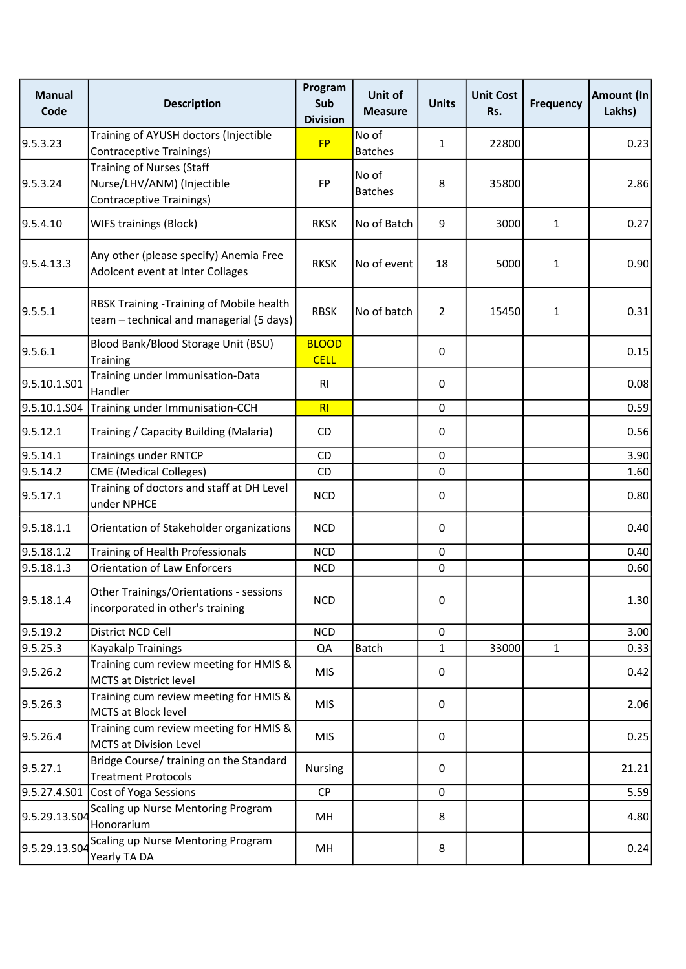| <b>Manual</b><br>Code | <b>Description</b>                                                                                | Program<br>Sub<br><b>Division</b> | Unit of<br><b>Measure</b> | <b>Units</b>   | <b>Unit Cost</b><br>Rs. | <b>Frequency</b> | Amount (In<br>Lakhs) |
|-----------------------|---------------------------------------------------------------------------------------------------|-----------------------------------|---------------------------|----------------|-------------------------|------------------|----------------------|
| 9.5.3.23              | Training of AYUSH doctors (Injectible<br><b>Contraceptive Trainings)</b>                          | <b>FP</b>                         | No of<br><b>Batches</b>   | $\mathbf{1}$   | 22800                   |                  | 0.23                 |
| 9.5.3.24              | <b>Training of Nurses (Staff</b><br>Nurse/LHV/ANM) (Injectible<br><b>Contraceptive Trainings)</b> | <b>FP</b>                         | No of<br><b>Batches</b>   | 8              | 35800                   |                  | 2.86                 |
| 9.5.4.10              | WIFS trainings (Block)                                                                            | <b>RKSK</b>                       | No of Batch               | 9              | 3000                    | $\mathbf{1}$     | 0.27                 |
| 9.5.4.13.3            | Any other (please specify) Anemia Free<br>Adolcent event at Inter Collages                        | <b>RKSK</b>                       | No of event               | 18             | 5000                    | $\mathbf{1}$     | 0.90                 |
| 9.5.5.1               | RBSK Training -Training of Mobile health<br>team - technical and managerial (5 days)              | <b>RBSK</b>                       | No of batch               | $\overline{2}$ | 15450                   | $\mathbf{1}$     | 0.31                 |
| 9.5.6.1               | Blood Bank/Blood Storage Unit (BSU)<br>Training                                                   | <b>BLOOD</b><br><b>CELL</b>       |                           | $\mathbf 0$    |                         |                  | 0.15                 |
| 9.5.10.1.S01          | Training under Immunisation-Data<br>Handler                                                       | RI                                |                           | 0              |                         |                  | 0.08                 |
| 9.5.10.1.504          | Training under Immunisation-CCH                                                                   | RI                                |                           | $\mathbf 0$    |                         |                  | 0.59                 |
| 9.5.12.1              | Training / Capacity Building (Malaria)                                                            | CD                                |                           | 0              |                         |                  | 0.56                 |
| 9.5.14.1              | <b>Trainings under RNTCP</b>                                                                      | CD                                |                           | $\mathbf 0$    |                         |                  | 3.90                 |
| 9.5.14.2              | <b>CME</b> (Medical Colleges)                                                                     | CD                                |                           | $\pmb{0}$      |                         |                  | 1.60                 |
| 9.5.17.1              | Training of doctors and staff at DH Level<br>under NPHCE                                          | <b>NCD</b>                        |                           | 0              |                         |                  | 0.80                 |
| 9.5.18.1.1            | Orientation of Stakeholder organizations                                                          | <b>NCD</b>                        |                           | $\mathbf 0$    |                         |                  | 0.40                 |
| 9.5.18.1.2            | Training of Health Professionals                                                                  | <b>NCD</b>                        |                           | $\mathbf 0$    |                         |                  | 0.40                 |
| 9.5.18.1.3            | <b>Orientation of Law Enforcers</b>                                                               | <b>NCD</b>                        |                           | $\mathbf 0$    |                         |                  | 0.60                 |
| 9.5.18.1.4            | Other Trainings/Orientations - sessions<br>incorporated in other's training                       | <b>NCD</b>                        |                           | 0              |                         |                  | 1.30                 |
| 9.5.19.2              | District NCD Cell                                                                                 | <b>NCD</b>                        |                           | $\mathbf 0$    |                         |                  | 3.00                 |
| 9.5.25.3              | Kayakalp Trainings                                                                                | QA                                | Batch                     | $\mathbf{1}$   | 33000                   | $\mathbf{1}$     | 0.33                 |
| 9.5.26.2              | Training cum review meeting for HMIS &<br><b>MCTS at District level</b>                           | <b>MIS</b>                        |                           | 0              |                         |                  | 0.42                 |
| 9.5.26.3              | Training cum review meeting for HMIS &<br>MCTS at Block level                                     | <b>MIS</b>                        |                           | 0              |                         |                  | 2.06                 |
| 9.5.26.4              | Training cum review meeting for HMIS &<br>MCTS at Division Level                                  | <b>MIS</b>                        |                           | 0              |                         |                  | 0.25                 |
| 9.5.27.1              | Bridge Course/ training on the Standard<br><b>Treatment Protocols</b>                             | Nursing                           |                           | 0              |                         |                  | 21.21                |
|                       | 9.5.27.4.S01 Cost of Yoga Sessions                                                                | <b>CP</b>                         |                           | $\mathbf 0$    |                         |                  | 5.59                 |
| 9.5.29.13.S04         | Scaling up Nurse Mentoring Program<br>Honorarium                                                  | MН                                |                           | 8              |                         |                  | 4.80                 |
| 9.5.29.13.S04         | Scaling up Nurse Mentoring Program<br>Yearly TA DA                                                | MН                                |                           | 8              |                         |                  | 0.24                 |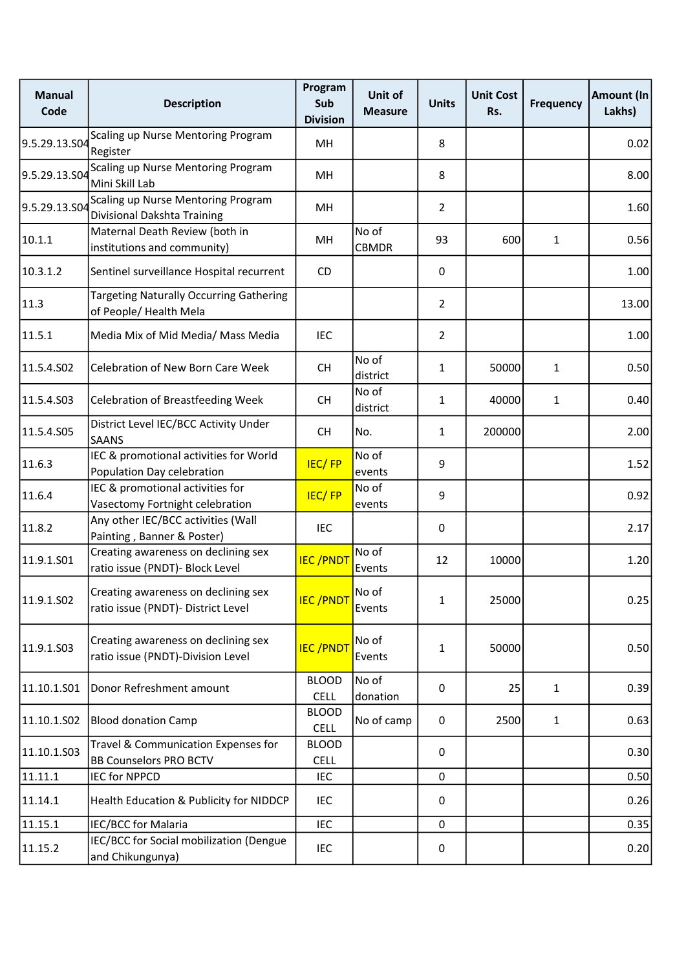| <b>Manual</b><br>Code | <b>Description</b>                                                        | Program<br>Sub<br><b>Division</b> | Unit of<br><b>Measure</b> | <b>Units</b>   | <b>Unit Cost</b><br>Rs. | <b>Frequency</b> | Amount (In<br>Lakhs) |
|-----------------------|---------------------------------------------------------------------------|-----------------------------------|---------------------------|----------------|-------------------------|------------------|----------------------|
| 9.5.29.13.S04         | Scaling up Nurse Mentoring Program<br>Register                            | MН                                |                           | 8              |                         |                  | 0.02                 |
| 9.5.29.13.S04         | Scaling up Nurse Mentoring Program<br>Mini Skill Lab                      | MH                                |                           | 8              |                         |                  | 8.00                 |
| 9.5.29.13.504         | Scaling up Nurse Mentoring Program<br>Divisional Dakshta Training         | MН                                |                           | $\overline{2}$ |                         |                  | 1.60                 |
| 10.1.1                | Maternal Death Review (both in<br>institutions and community)             | MH                                | No of<br><b>CBMDR</b>     | 93             | 600                     | $\mathbf{1}$     | 0.56                 |
| 10.3.1.2              | Sentinel surveillance Hospital recurrent                                  | CD                                |                           | $\mathbf 0$    |                         |                  | 1.00                 |
| 11.3                  | <b>Targeting Naturally Occurring Gathering</b><br>of People/ Health Mela  |                                   |                           | $\overline{2}$ |                         |                  | 13.00                |
| 11.5.1                | Media Mix of Mid Media/ Mass Media                                        | IEC                               |                           | $\overline{2}$ |                         |                  | 1.00                 |
| 11.5.4.S02            | Celebration of New Born Care Week                                         | <b>CH</b>                         | No of<br>district         | $\mathbf{1}$   | 50000                   | $\mathbf{1}$     | 0.50                 |
| 11.5.4.503            | <b>Celebration of Breastfeeding Week</b>                                  | <b>CH</b>                         | No of<br>district         | $\mathbf{1}$   | 40000                   | $\mathbf{1}$     | 0.40                 |
| 11.5.4.S05            | District Level IEC/BCC Activity Under<br><b>SAANS</b>                     | <b>CH</b>                         | No.                       | $\mathbf{1}$   | 200000                  |                  | 2.00                 |
| 11.6.3                | IEC & promotional activities for World<br>Population Day celebration      | IEC/FP                            | No of<br>events           | 9              |                         |                  | 1.52                 |
| 11.6.4                | IEC & promotional activities for<br>Vasectomy Fortnight celebration       | <b>IEC/FP</b>                     | No of<br>events           | 9              |                         |                  | 0.92                 |
| 11.8.2                | Any other IEC/BCC activities (Wall<br>Painting, Banner & Poster)          | <b>IEC</b>                        |                           | $\mathbf 0$    |                         |                  | 2.17                 |
| 11.9.1.S01            | Creating awareness on declining sex<br>ratio issue (PNDT)- Block Level    | <b>IEC/PNDT</b>                   | No of<br>Events           | 12             | 10000                   |                  | 1.20                 |
| 11.9.1.S02            | Creating awareness on declining sex<br>ratio issue (PNDT)- District Level | <b>IEC/PNDT</b>                   | No of<br>Events           | $\mathbf{1}$   | 25000                   |                  | 0.25                 |
| 11.9.1.S03            | Creating awareness on declining sex<br>ratio issue (PNDT)-Division Level  | <b>IEC/PNDT</b>                   | No of<br>Events           | $\mathbf{1}$   | 50000                   |                  | 0.50                 |
| 11.10.1.501           | Donor Refreshment amount                                                  | <b>BLOOD</b><br><b>CELL</b>       | No of<br>donation         | 0              | 25                      | 1                | 0.39                 |
| 11.10.1.502           | <b>Blood donation Camp</b>                                                | <b>BLOOD</b><br><b>CELL</b>       | No of camp                | $\mathbf 0$    | 2500                    | $\mathbf{1}$     | 0.63                 |
| 11.10.1.503           | Travel & Communication Expenses for<br><b>BB Counselors PRO BCTV</b>      | <b>BLOOD</b><br><b>CELL</b>       |                           | 0              |                         |                  | 0.30                 |
| 11.11.1               | <b>IEC for NPPCD</b>                                                      | <b>IEC</b>                        |                           | 0              |                         |                  | 0.50                 |
| 11.14.1               | Health Education & Publicity for NIDDCP                                   | <b>IEC</b>                        |                           | 0              |                         |                  | 0.26                 |
| 11.15.1               | IEC/BCC for Malaria                                                       | <b>IEC</b>                        |                           | 0              |                         |                  | 0.35                 |
| 11.15.2               | IEC/BCC for Social mobilization (Dengue<br>and Chikungunya)               | <b>IEC</b>                        |                           | $\pmb{0}$      |                         |                  | 0.20                 |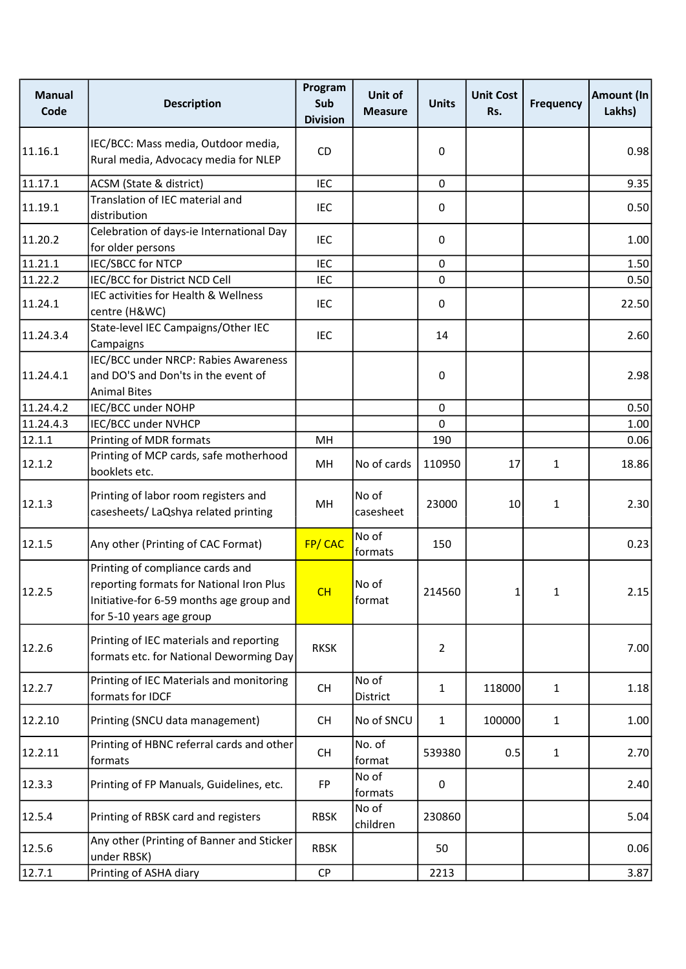| <b>Manual</b><br>Code | <b>Description</b>                                                                                                                                   | Program<br>Sub<br><b>Division</b> | Unit of<br><b>Measure</b> | <b>Units</b>   | <b>Unit Cost</b><br>Rs. | <b>Frequency</b> | Amount (In<br>Lakhs) |
|-----------------------|------------------------------------------------------------------------------------------------------------------------------------------------------|-----------------------------------|---------------------------|----------------|-------------------------|------------------|----------------------|
| 11.16.1               | IEC/BCC: Mass media, Outdoor media,<br>Rural media, Advocacy media for NLEP                                                                          | <b>CD</b>                         |                           | 0              |                         |                  | 0.98                 |
| 11.17.1               | ACSM (State & district)                                                                                                                              | <b>IEC</b>                        |                           | 0              |                         |                  | 9.35                 |
| 11.19.1               | Translation of IEC material and<br>distribution                                                                                                      | <b>IEC</b>                        |                           | 0              |                         |                  | 0.50                 |
| 11.20.2               | Celebration of days-ie International Day<br>for older persons                                                                                        | <b>IEC</b>                        |                           | 0              |                         |                  | 1.00                 |
| 11.21.1               | <b>IEC/SBCC for NTCP</b>                                                                                                                             | <b>IEC</b>                        |                           | 0              |                         |                  | 1.50                 |
| 11.22.2               | IEC/BCC for District NCD Cell                                                                                                                        | IEC                               |                           | 0              |                         |                  | 0.50                 |
| 11.24.1               | IEC activities for Health & Wellness<br>centre (H&WC)                                                                                                | <b>IEC</b>                        |                           | 0              |                         |                  | 22.50                |
| 11.24.3.4             | State-level IEC Campaigns/Other IEC<br>Campaigns                                                                                                     | <b>IEC</b>                        |                           | 14             |                         |                  | 2.60                 |
| 11.24.4.1             | IEC/BCC under NRCP: Rabies Awareness<br>and DO'S and Don'ts in the event of<br><b>Animal Bites</b>                                                   |                                   |                           | 0              |                         |                  | 2.98                 |
| 11.24.4.2             | IEC/BCC under NOHP                                                                                                                                   |                                   |                           | 0              |                         |                  | 0.50                 |
| 11.24.4.3             | IEC/BCC under NVHCP                                                                                                                                  |                                   |                           | 0              |                         |                  | 1.00                 |
| 12.1.1                | Printing of MDR formats                                                                                                                              | MH                                |                           | 190            |                         |                  | 0.06                 |
| 12.1.2                | Printing of MCP cards, safe motherhood<br>booklets etc.                                                                                              | MH                                | No of cards               | 110950         | 17                      | $\mathbf{1}$     | 18.86                |
| 12.1.3                | Printing of labor room registers and<br>casesheets/ LaQshya related printing                                                                         | MH                                | No of<br>casesheet        | 23000          | 10                      | $\mathbf{1}$     | 2.30                 |
| 12.1.5                | Any other (Printing of CAC Format)                                                                                                                   | FP/CAC                            | No of<br>formats          | 150            |                         |                  | 0.23                 |
| 12.2.5                | Printing of compliance cards and<br>reporting formats for National Iron Plus<br>Initiative-for 6-59 months age group and<br>for 5-10 years age group | CH                                | No of<br>format           | 214560         | $\mathbf{1}$            | 1                | 2.15                 |
| 12.2.6                | Printing of IEC materials and reporting<br>formats etc. for National Deworming Day                                                                   | <b>RKSK</b>                       |                           | $\overline{2}$ |                         |                  | 7.00                 |
| 12.2.7                | Printing of IEC Materials and monitoring<br>formats for IDCF                                                                                         | CH                                | No of<br>District         | $\mathbf{1}$   | 118000                  | 1                | 1.18                 |
| 12.2.10               | Printing (SNCU data management)                                                                                                                      | <b>CH</b>                         | No of SNCU                | $\mathbf{1}$   | 100000                  | $\mathbf{1}$     | 1.00                 |
| 12.2.11               | Printing of HBNC referral cards and other<br>formats                                                                                                 | <b>CH</b>                         | No. of<br>format          | 539380         | 0.5                     | $\mathbf{1}$     | 2.70                 |
| 12.3.3                | Printing of FP Manuals, Guidelines, etc.                                                                                                             | <b>FP</b>                         | No of<br>formats          | 0              |                         |                  | 2.40                 |
| 12.5.4                | Printing of RBSK card and registers                                                                                                                  | <b>RBSK</b>                       | No of<br>children         | 230860         |                         |                  | 5.04                 |
| 12.5.6                | Any other (Printing of Banner and Sticker<br>under RBSK)                                                                                             | <b>RBSK</b>                       |                           | 50             |                         |                  | 0.06                 |
| 12.7.1                | Printing of ASHA diary                                                                                                                               | <b>CP</b>                         |                           | 2213           |                         |                  | 3.87                 |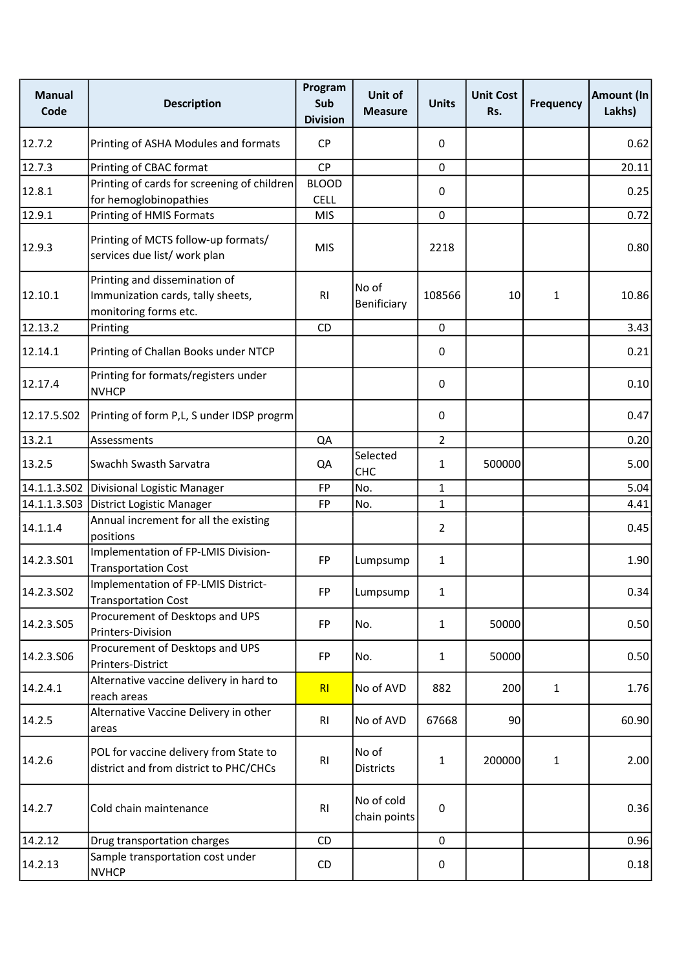| <b>Manual</b><br>Code | <b>Description</b>                                                                          | Program<br>Sub<br><b>Division</b> | Unit of<br><b>Measure</b>  | <b>Units</b>   | <b>Unit Cost</b><br>Rs. | <b>Frequency</b> | Amount (In<br>Lakhs) |
|-----------------------|---------------------------------------------------------------------------------------------|-----------------------------------|----------------------------|----------------|-------------------------|------------------|----------------------|
| 12.7.2                | Printing of ASHA Modules and formats                                                        | <b>CP</b>                         |                            | 0              |                         |                  | 0.62                 |
| 12.7.3                | Printing of CBAC format                                                                     | <b>CP</b>                         |                            | $\mathbf 0$    |                         |                  | 20.11                |
| 12.8.1                | Printing of cards for screening of children<br>for hemoglobinopathies                       | <b>BLOOD</b><br><b>CELL</b>       |                            | 0              |                         |                  | 0.25                 |
| 12.9.1                | Printing of HMIS Formats                                                                    | <b>MIS</b>                        |                            | $\mathbf 0$    |                         |                  | 0.72                 |
| 12.9.3                | Printing of MCTS follow-up formats/<br>services due list/ work plan                         | <b>MIS</b>                        |                            | 2218           |                         |                  | 0.80                 |
| 12.10.1               | Printing and dissemination of<br>Immunization cards, tally sheets,<br>monitoring forms etc. | RI                                | No of<br>Benificiary       | 108566         | 10                      | 1                | 10.86                |
| 12.13.2               | Printing                                                                                    | <b>CD</b>                         |                            | 0              |                         |                  | 3.43                 |
| 12.14.1               | Printing of Challan Books under NTCP                                                        |                                   |                            | 0              |                         |                  | 0.21                 |
| 12.17.4               | Printing for formats/registers under<br><b>NVHCP</b>                                        |                                   |                            | 0              |                         |                  | 0.10                 |
| 12.17.5.502           | Printing of form P,L, S under IDSP progrm                                                   |                                   |                            | $\mathbf 0$    |                         |                  | 0.47                 |
| 13.2.1                | Assessments                                                                                 | QA                                |                            | $\overline{2}$ |                         |                  | 0.20                 |
| 13.2.5                | Swachh Swasth Sarvatra                                                                      | QA                                | Selected<br><b>CHC</b>     | $\mathbf{1}$   | 500000                  |                  | 5.00                 |
|                       | 14.1.1.3.S02 Divisional Logistic Manager                                                    | FP                                | No.                        | $\mathbf{1}$   |                         |                  | 5.04                 |
|                       | 14.1.1.3.S03 District Logistic Manager                                                      | <b>FP</b>                         | No.                        | $\mathbf{1}$   |                         |                  | 4.41                 |
| 14.1.1.4              | Annual increment for all the existing<br>positions                                          |                                   |                            | $\overline{2}$ |                         |                  | 0.45                 |
| 14.2.3.S01            | Implementation of FP-LMIS Division-<br><b>Transportation Cost</b>                           | <b>FP</b>                         | Lumpsump                   | $\mathbf{1}$   |                         |                  | 1.90                 |
| 14.2.3.502            | Implementation of FP-LMIS District-<br><b>Transportation Cost</b>                           | FP                                | Lumpsump                   | 1              |                         |                  | 0.34                 |
| 14.2.3.S05            | Procurement of Desktops and UPS<br>Printers-Division                                        | <b>FP</b>                         | No.                        | $\mathbf{1}$   | 50000                   |                  | 0.50                 |
| 14.2.3.S06            | Procurement of Desktops and UPS<br>Printers-District                                        | FP                                | No.                        | $\mathbf{1}$   | 50000                   |                  | 0.50                 |
| 14.2.4.1              | Alternative vaccine delivery in hard to<br>reach areas                                      | RI                                | No of AVD                  | 882            | 200                     | 1                | 1.76                 |
| 14.2.5                | Alternative Vaccine Delivery in other<br>areas                                              | R <sub>1</sub>                    | No of AVD                  | 67668          | 90                      |                  | 60.90                |
| 14.2.6                | POL for vaccine delivery from State to<br>district and from district to PHC/CHCs            | RI                                | No of<br><b>Districts</b>  | $\mathbf{1}$   | 200000                  | $\mathbf{1}$     | 2.00                 |
| 14.2.7                | Cold chain maintenance                                                                      | RI                                | No of cold<br>chain points | $\mathbf 0$    |                         |                  | 0.36                 |
| 14.2.12               | Drug transportation charges                                                                 | CD                                |                            | $\mathbf 0$    |                         |                  | 0.96                 |
| 14.2.13               | Sample transportation cost under<br><b>NVHCP</b>                                            | CD                                |                            | 0              |                         |                  | 0.18                 |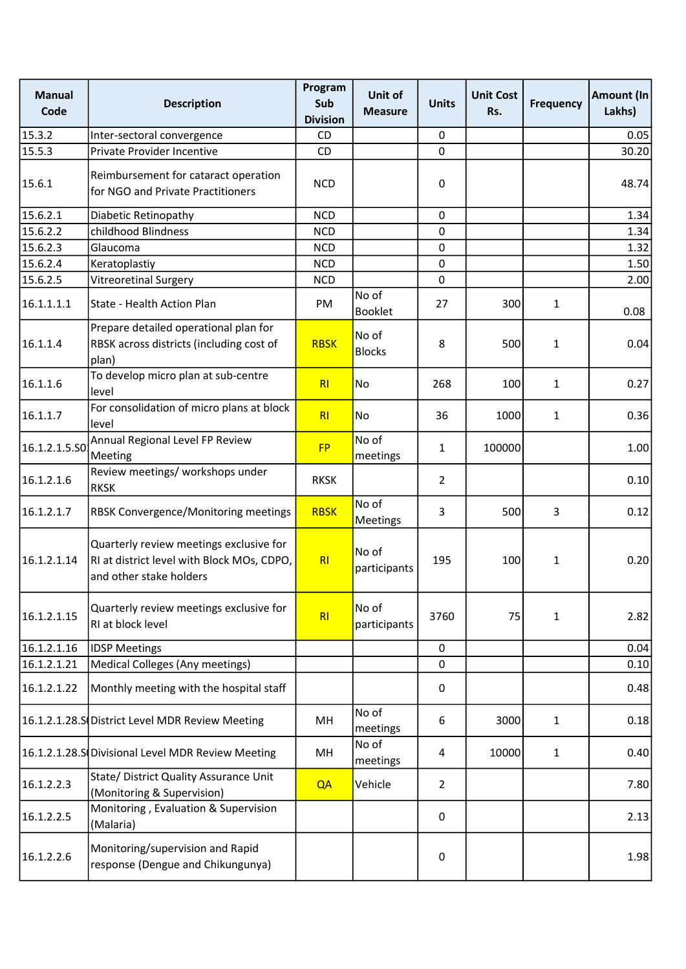| <b>Manual</b><br>Code | <b>Description</b>                                                                                               | Program<br>Sub<br><b>Division</b> | <b>Unit of</b><br><b>Measure</b> | <b>Units</b>   | <b>Unit Cost</b><br>Rs. | <b>Frequency</b> | Amount (In<br>Lakhs) |
|-----------------------|------------------------------------------------------------------------------------------------------------------|-----------------------------------|----------------------------------|----------------|-------------------------|------------------|----------------------|
| 15.3.2                | Inter-sectoral convergence                                                                                       | <b>CD</b>                         |                                  | 0              |                         |                  | 0.05                 |
| 15.5.3                | Private Provider Incentive                                                                                       | CD                                |                                  | $\mathbf 0$    |                         |                  | 30.20                |
| 15.6.1                | Reimbursement for cataract operation<br>for NGO and Private Practitioners                                        | <b>NCD</b>                        |                                  | 0              |                         |                  | 48.74                |
| 15.6.2.1              | Diabetic Retinopathy                                                                                             | <b>NCD</b>                        |                                  | 0              |                         |                  | 1.34                 |
| 15.6.2.2              | childhood Blindness                                                                                              | <b>NCD</b>                        |                                  | 0              |                         |                  | 1.34                 |
| 15.6.2.3              | Glaucoma                                                                                                         | <b>NCD</b>                        |                                  | 0              |                         |                  | 1.32                 |
| 15.6.2.4              | Keratoplastiy                                                                                                    | <b>NCD</b>                        |                                  | 0              |                         |                  | 1.50                 |
| 15.6.2.5              | Vitreoretinal Surgery                                                                                            | <b>NCD</b>                        |                                  | 0              |                         |                  | 2.00                 |
| 16.1.1.1.1            | State - Health Action Plan                                                                                       | <b>PM</b>                         | No of<br><b>Booklet</b>          | 27             | 300                     | $\mathbf{1}$     | 0.08                 |
| 16.1.1.4              | Prepare detailed operational plan for<br>RBSK across districts (including cost of<br>plan)                       | <b>RBSK</b>                       | No of<br><b>Blocks</b>           | 8              | 500                     | $\mathbf{1}$     | 0.04                 |
| 16.1.1.6              | To develop micro plan at sub-centre<br>level                                                                     | R <sub>l</sub>                    | No                               | 268            | 100                     | $\mathbf{1}$     | 0.27                 |
| 16.1.1.7              | For consolidation of micro plans at block<br>level                                                               | R <sub>l</sub>                    | No                               | 36             | 1000                    | $\mathbf{1}$     | 0.36                 |
| 16.1.2.1.5.50         | Annual Regional Level FP Review<br>Meeting                                                                       | <b>FP</b>                         | No of<br>meetings                | 1              | 100000                  |                  | 1.00                 |
| 16.1.2.1.6            | Review meetings/ workshops under<br><b>RKSK</b>                                                                  | <b>RKSK</b>                       |                                  | $\overline{2}$ |                         |                  | 0.10                 |
| 16.1.2.1.7            | <b>RBSK Convergence/Monitoring meetings</b>                                                                      | <b>RBSK</b>                       | No of<br>Meetings                | 3              | 500                     | 3                | 0.12                 |
| 16.1.2.1.14           | Quarterly review meetings exclusive for<br>RI at district level with Block MOs, CDPO,<br>and other stake holders | R <sub>l</sub>                    | No of<br>participants            | 195            | 100                     | $\mathbf{1}$     | 0.20                 |
| 16.1.2.1.15           | Quarterly review meetings exclusive for<br>RI at block level                                                     | RI                                | No of<br>participants            | 3760           | 75                      | $\mathbf{1}$     | 2.82                 |
| 16.1.2.1.16           | <b>IDSP Meetings</b>                                                                                             |                                   |                                  | $\mathbf 0$    |                         |                  | 0.04                 |
| 16.1.2.1.21           | Medical Colleges (Any meetings)                                                                                  |                                   |                                  | 0              |                         |                  | 0.10                 |
| 16.1.2.1.22           | Monthly meeting with the hospital staff                                                                          |                                   |                                  | 0              |                         |                  | 0.48                 |
|                       | 16.1.2.1.28.S District Level MDR Review Meeting                                                                  | MH                                | No of<br>meetings                | 6              | 3000                    | $\mathbf{1}$     | 0.18                 |
|                       | 16.1.2.1.28.S Divisional Level MDR Review Meeting                                                                | MН                                | No of<br>meetings                | 4              | 10000                   | $\mathbf{1}$     | 0.40                 |
| 16.1.2.2.3            | State/ District Quality Assurance Unit<br>(Monitoring & Supervision)                                             | QA                                | Vehicle                          | $\overline{2}$ |                         |                  | 7.80                 |
| 16.1.2.2.5            | Monitoring, Evaluation & Supervision<br>(Malaria)                                                                |                                   |                                  | 0              |                         |                  | 2.13                 |
| 16.1.2.2.6            | Monitoring/supervision and Rapid<br>response (Dengue and Chikungunya)                                            |                                   |                                  | 0              |                         |                  | 1.98                 |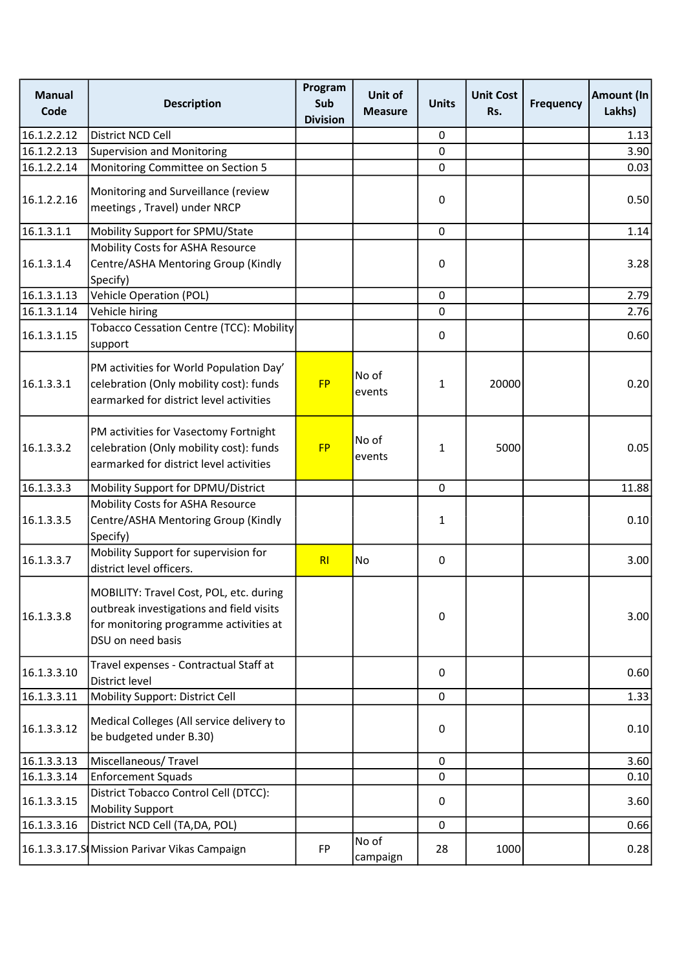| <b>Manual</b><br>Code | <b>Description</b>                                                                                                                                 | Program<br>Sub<br><b>Division</b> | Unit of<br><b>Measure</b> | <b>Units</b> | <b>Unit Cost</b><br>Rs. | <b>Frequency</b> | Amount (In<br>Lakhs) |
|-----------------------|----------------------------------------------------------------------------------------------------------------------------------------------------|-----------------------------------|---------------------------|--------------|-------------------------|------------------|----------------------|
| 16.1.2.2.12           | District NCD Cell                                                                                                                                  |                                   |                           | 0            |                         |                  | 1.13                 |
| 16.1.2.2.13           | <b>Supervision and Monitoring</b>                                                                                                                  |                                   |                           | $\mathbf 0$  |                         |                  | 3.90                 |
| 16.1.2.2.14           | Monitoring Committee on Section 5                                                                                                                  |                                   |                           | $\mathbf 0$  |                         |                  | 0.03                 |
| 16.1.2.2.16           | Monitoring and Surveillance (review<br>meetings, Travel) under NRCP                                                                                |                                   |                           | 0            |                         |                  | 0.50                 |
| 16.1.3.1.1            | Mobility Support for SPMU/State                                                                                                                    |                                   |                           | $\pmb{0}$    |                         |                  | 1.14                 |
| 16.1.3.1.4            | Mobility Costs for ASHA Resource<br>Centre/ASHA Mentoring Group (Kindly<br>Specify)                                                                |                                   |                           | 0            |                         |                  | 3.28                 |
| 16.1.3.1.13           | <b>Vehicle Operation (POL)</b>                                                                                                                     |                                   |                           | $\pmb{0}$    |                         |                  | 2.79                 |
| 16.1.3.1.14           | Vehicle hiring                                                                                                                                     |                                   |                           | $\mathbf 0$  |                         |                  | 2.76                 |
| 16.1.3.1.15           | Tobacco Cessation Centre (TCC): Mobility<br>support                                                                                                |                                   |                           | 0            |                         |                  | 0.60                 |
| 16.1.3.3.1            | PM activities for World Population Day'<br>celebration (Only mobility cost): funds<br>earmarked for district level activities                      | <b>FP</b>                         | No of<br>events           | $\mathbf{1}$ | 20000                   |                  | 0.20                 |
| 16.1.3.3.2            | PM activities for Vasectomy Fortnight<br>celebration (Only mobility cost): funds<br>earmarked for district level activities                        | <b>FP</b>                         | No of<br>events           | $\mathbf{1}$ | 5000                    |                  | 0.05                 |
| 16.1.3.3.3            | Mobility Support for DPMU/District                                                                                                                 |                                   |                           | $\pmb{0}$    |                         |                  | 11.88                |
| 16.1.3.3.5            | Mobility Costs for ASHA Resource<br>Centre/ASHA Mentoring Group (Kindly<br>Specify)                                                                |                                   |                           | $\mathbf{1}$ |                         |                  | 0.10                 |
| 16.1.3.3.7            | Mobility Support for supervision for<br>district level officers.                                                                                   | R <sub>l</sub>                    | No                        | 0            |                         |                  | 3.00                 |
| 16.1.3.3.8            | MOBILITY: Travel Cost, POL, etc. during<br>outbreak investigations and field visits<br>for monitoring programme activities at<br>DSU on need basis |                                   |                           | $\pmb{0}$    |                         |                  | 3.00                 |
| 16.1.3.3.10           | Travel expenses - Contractual Staff at<br>District level                                                                                           |                                   |                           | $\mathbf{0}$ |                         |                  | 0.60                 |
| 16.1.3.3.11           | Mobility Support: District Cell                                                                                                                    |                                   |                           | $\mathbf 0$  |                         |                  | 1.33                 |
| 16.1.3.3.12           | Medical Colleges (All service delivery to<br>be budgeted under B.30)                                                                               |                                   |                           | 0            |                         |                  | 0.10                 |
| 16.1.3.3.13           | Miscellaneous/ Travel                                                                                                                              |                                   |                           | $\mathbf 0$  |                         |                  | 3.60                 |
| 16.1.3.3.14           | <b>Enforcement Squads</b>                                                                                                                          |                                   |                           | 0            |                         |                  | 0.10                 |
| 16.1.3.3.15           | District Tobacco Control Cell (DTCC):<br><b>Mobility Support</b>                                                                                   |                                   |                           | 0            |                         |                  | 3.60                 |
| 16.1.3.3.16           | District NCD Cell (TA, DA, POL)                                                                                                                    |                                   |                           | 0            |                         |                  | 0.66                 |
|                       | 16.1.3.3.17.S Mission Parivar Vikas Campaign                                                                                                       | <b>FP</b>                         | No of<br>campaign         | 28           | 1000                    |                  | 0.28                 |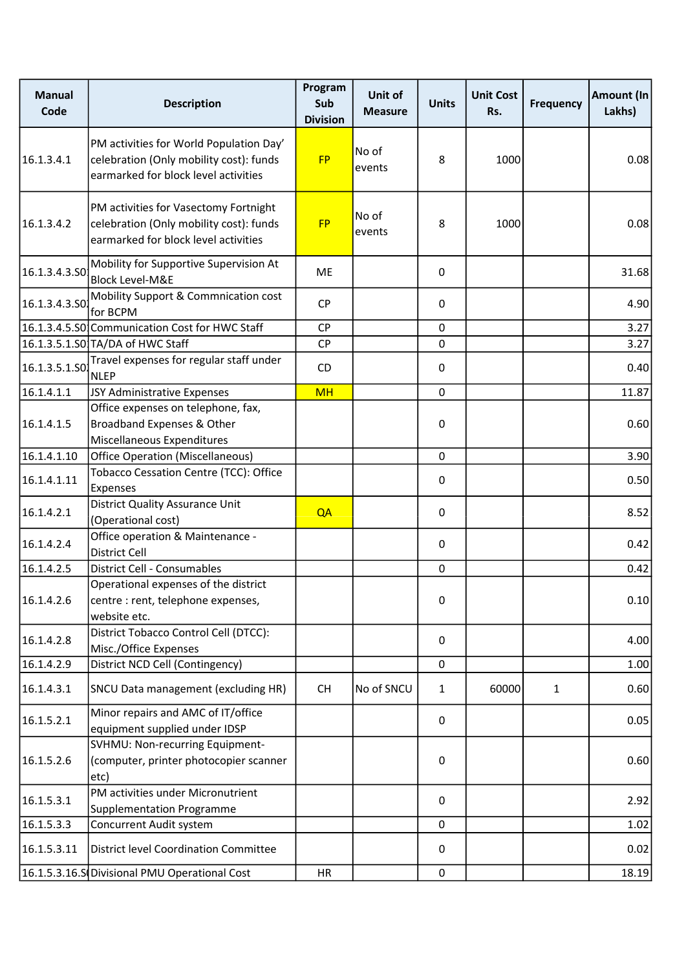| <b>Manual</b><br>Code | <b>Description</b>                                                                                                         | Program<br>Sub<br><b>Division</b> | Unit of<br><b>Measure</b> | <b>Units</b> | <b>Unit Cost</b><br>Rs. | <b>Frequency</b> | Amount (In<br>Lakhs) |
|-----------------------|----------------------------------------------------------------------------------------------------------------------------|-----------------------------------|---------------------------|--------------|-------------------------|------------------|----------------------|
| 16.1.3.4.1            | PM activities for World Population Day'<br>celebration (Only mobility cost): funds<br>earmarked for block level activities | <b>FP</b>                         | No of<br>events           | 8            | 1000                    |                  | 0.08                 |
| 16.1.3.4.2            | PM activities for Vasectomy Fortnight<br>celebration (Only mobility cost): funds<br>earmarked for block level activities   | <b>FP</b>                         | No of<br>events           | 8            | 1000                    |                  | 0.08                 |
| 16.1.3.4.3.50         | Mobility for Supportive Supervision At<br><b>Block Level-M&amp;E</b>                                                       | ME                                |                           | 0            |                         |                  | 31.68                |
| 16.1.3.4.3.50         | Mobility Support & Commnication cost<br>for BCPM                                                                           | <b>CP</b>                         |                           | $\Omega$     |                         |                  | 4.90                 |
|                       | 16.1.3.4.5.S0 Communication Cost for HWC Staff                                                                             | <b>CP</b>                         |                           | 0            |                         |                  | 3.27                 |
|                       | 16.1.3.5.1.S0 TA/DA of HWC Staff                                                                                           | <b>CP</b>                         |                           | 0            |                         |                  | 3.27                 |
| 16.1.3.5.1.SO         | Travel expenses for regular staff under<br><b>NLEP</b>                                                                     | CD                                |                           | 0            |                         |                  | 0.40                 |
| 16.1.4.1.1            | JSY Administrative Expenses                                                                                                | <b>MH</b>                         |                           | 0            |                         |                  | 11.87                |
| 16.1.4.1.5            | Office expenses on telephone, fax,<br>Broadband Expenses & Other<br>Miscellaneous Expenditures                             |                                   |                           | 0            |                         |                  | 0.60                 |
| 16.1.4.1.10           | <b>Office Operation (Miscellaneous)</b>                                                                                    |                                   |                           | 0            |                         |                  | 3.90                 |
|                       | Tobacco Cessation Centre (TCC): Office                                                                                     |                                   |                           |              |                         |                  |                      |
| 16.1.4.1.11           | Expenses                                                                                                                   |                                   |                           | 0            |                         |                  | 0.50                 |
| 16.1.4.2.1            | <b>District Quality Assurance Unit</b><br>(Operational cost)                                                               | QA                                |                           | 0            |                         |                  | 8.52                 |
| 16.1.4.2.4            | Office operation & Maintenance -<br>District Cell                                                                          |                                   |                           | 0            |                         |                  | 0.42                 |
| 16.1.4.2.5            | District Cell - Consumables                                                                                                |                                   |                           | 0            |                         |                  | 0.42                 |
| 16.1.4.2.6            | Operational expenses of the district<br>centre : rent, telephone expenses,<br>website etc.                                 |                                   |                           | 0            |                         |                  | 0.10                 |
| 16.1.4.2.8            | District Tobacco Control Cell (DTCC):<br>Misc./Office Expenses                                                             |                                   |                           | 0            |                         |                  | 4.00                 |
| 16.1.4.2.9            | District NCD Cell (Contingency)                                                                                            |                                   |                           | 0            |                         |                  | 1.00                 |
| 16.1.4.3.1            | SNCU Data management (excluding HR)                                                                                        | <b>CH</b>                         | No of SNCU                | $\mathbf{1}$ | 60000                   | $\mathbf{1}$     | 0.60                 |
| 16.1.5.2.1            | Minor repairs and AMC of IT/office<br>equipment supplied under IDSP                                                        |                                   |                           | $\mathbf 0$  |                         |                  | 0.05                 |
| 16.1.5.2.6            | SVHMU: Non-recurring Equipment-<br>(computer, printer photocopier scanner<br>etc)                                          |                                   |                           | 0            |                         |                  | 0.60                 |
| 16.1.5.3.1            | PM activities under Micronutrient<br><b>Supplementation Programme</b>                                                      |                                   |                           | 0            |                         |                  | 2.92                 |
| 16.1.5.3.3            | Concurrent Audit system                                                                                                    |                                   |                           | 0            |                         |                  | 1.02                 |
| 16.1.5.3.11           | <b>District level Coordination Committee</b>                                                                               |                                   |                           | 0            |                         |                  | 0.02                 |
|                       | 16.1.5.3.16.S Divisional PMU Operational Cost                                                                              | HR                                |                           | 0            |                         |                  | 18.19                |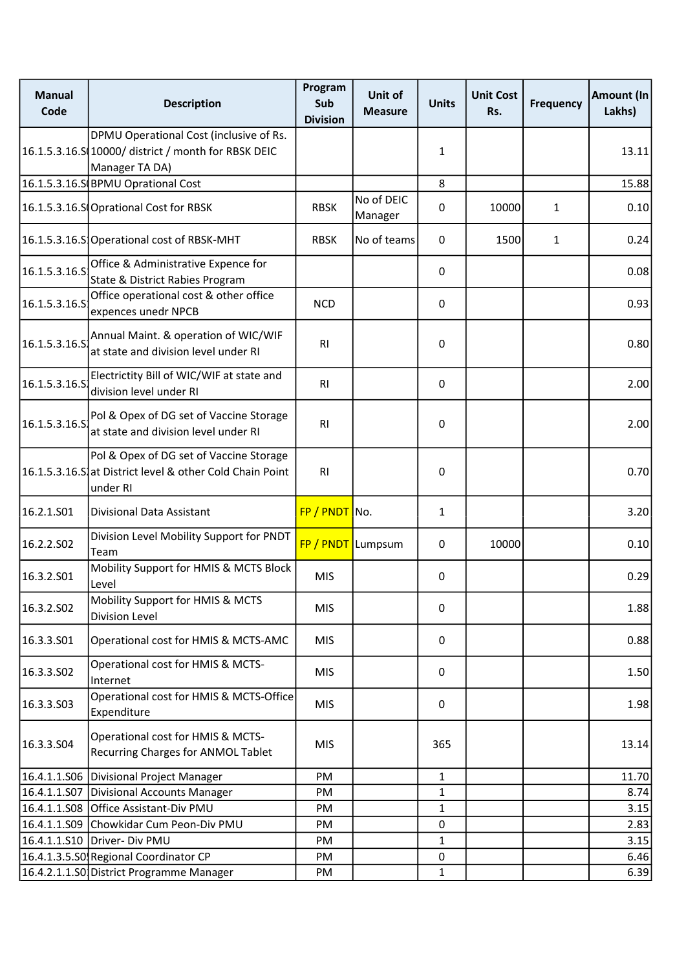| <b>Manual</b><br>Code | <b>Description</b>                                                                                               | Program<br>Sub<br><b>Division</b> | Unit of<br><b>Measure</b> | <b>Units</b> | <b>Unit Cost</b><br>Rs. | <b>Frequency</b> | Amount (In<br>Lakhs) |
|-----------------------|------------------------------------------------------------------------------------------------------------------|-----------------------------------|---------------------------|--------------|-------------------------|------------------|----------------------|
|                       | DPMU Operational Cost (inclusive of Rs.<br>16.1.5.3.16.S 10000/ district / month for RBSK DEIC<br>Manager TA DA) |                                   |                           | 1            |                         |                  | 13.11                |
|                       | 16.1.5.3.16.S BPMU Oprational Cost                                                                               |                                   |                           | 8            |                         |                  | 15.88                |
|                       | 16.1.5.3.16.S Oprational Cost for RBSK                                                                           | <b>RBSK</b>                       | No of DEIC<br>Manager     | 0            | 10000                   | 1                | 0.10                 |
|                       | 16.1.5.3.16.S Operational cost of RBSK-MHT                                                                       | <b>RBSK</b>                       | No of teams               | $\mathbf{0}$ | 1500                    | 1                | 0.24                 |
| 16.1.5.3.16.5         | Office & Administrative Expence for<br>State & District Rabies Program                                           |                                   |                           | 0            |                         |                  | 0.08                 |
| 16.1.5.3.16.S         | Office operational cost & other office<br>expences unedr NPCB                                                    | <b>NCD</b>                        |                           | 0            |                         |                  | 0.93                 |
| 16.1.5.3.16.S         | Annual Maint. & operation of WIC/WIF<br>at state and division level under RI                                     | R <sub>l</sub>                    |                           | 0            |                         |                  | 0.80                 |
| 16.1.5.3.16.5         | Electrictity Bill of WIC/WIF at state and<br>division level under RI                                             | <b>RI</b>                         |                           | 0            |                         |                  | 2.00                 |
| 16.1.5.3.16.S         | Pol & Opex of DG set of Vaccine Storage<br>at state and division level under RI                                  | R <sub>l</sub>                    |                           | 0            |                         |                  | 2.00                 |
|                       | Pol & Opex of DG set of Vaccine Storage<br>16.1.5.3.16.S. at District level & other Cold Chain Point<br>under RI | R <sub>l</sub>                    |                           | 0            |                         |                  | 0.70                 |
| 16.2.1.S01            | Divisional Data Assistant                                                                                        | FP / PNDT No.                     |                           | $\mathbf{1}$ |                         |                  | 3.20                 |
| 16.2.2.S02            | Division Level Mobility Support for PNDT<br>Team                                                                 | FP / PNDT Lumpsum                 |                           | 0            | 10000                   |                  | 0.10                 |
| 16.3.2.S01            | Mobility Support for HMIS & MCTS Block<br>Level                                                                  | <b>MIS</b>                        |                           | 0            |                         |                  | 0.29                 |
| 16.3.2.S02            | Mobility Support for HMIS & MCTS<br>Division Level                                                               | <b>MIS</b>                        |                           | 0            |                         |                  | 1.88                 |
| 16.3.3.501            | Operational cost for HMIS & MCTS-AMC                                                                             | <b>MIS</b>                        |                           | 0            |                         |                  | 0.88                 |
| 16.3.3.502            | Operational cost for HMIS & MCTS-<br>Internet                                                                    | <b>MIS</b>                        |                           | 0            |                         |                  | 1.50                 |
| 16.3.3.503            | Operational cost for HMIS & MCTS-Office<br>Expenditure                                                           | <b>MIS</b>                        |                           | 0            |                         |                  | 1.98                 |
| 16.3.3.504            | Operational cost for HMIS & MCTS-<br>Recurring Charges for ANMOL Tablet                                          | <b>MIS</b>                        |                           | 365          |                         |                  | 13.14                |
|                       | 16.4.1.1.S06 Divisional Project Manager                                                                          | <b>PM</b>                         |                           | $\mathbf{1}$ |                         |                  | 11.70                |
|                       | 16.4.1.1.S07 Divisional Accounts Manager                                                                         | PM                                |                           | 1            |                         |                  | 8.74                 |
|                       | 16.4.1.1.S08 Office Assistant-Div PMU                                                                            | PM                                |                           | $\mathbf{1}$ |                         |                  | 3.15                 |
|                       | 16.4.1.1.S09 Chowkidar Cum Peon-Div PMU                                                                          | PM                                |                           | 0            |                         |                  | 2.83                 |
|                       | 16.4.1.1.S10 Driver- Div PMU                                                                                     | PM                                |                           | 1            |                         |                  | 3.15                 |
|                       | 16.4.1.3.5.S0 Regional Coordinator CP                                                                            | PM                                |                           | $\pmb{0}$    |                         |                  | 6.46                 |
|                       | 16.4.2.1.1.S0 District Programme Manager                                                                         | PM                                |                           | $\mathbf{1}$ |                         |                  | 6.39                 |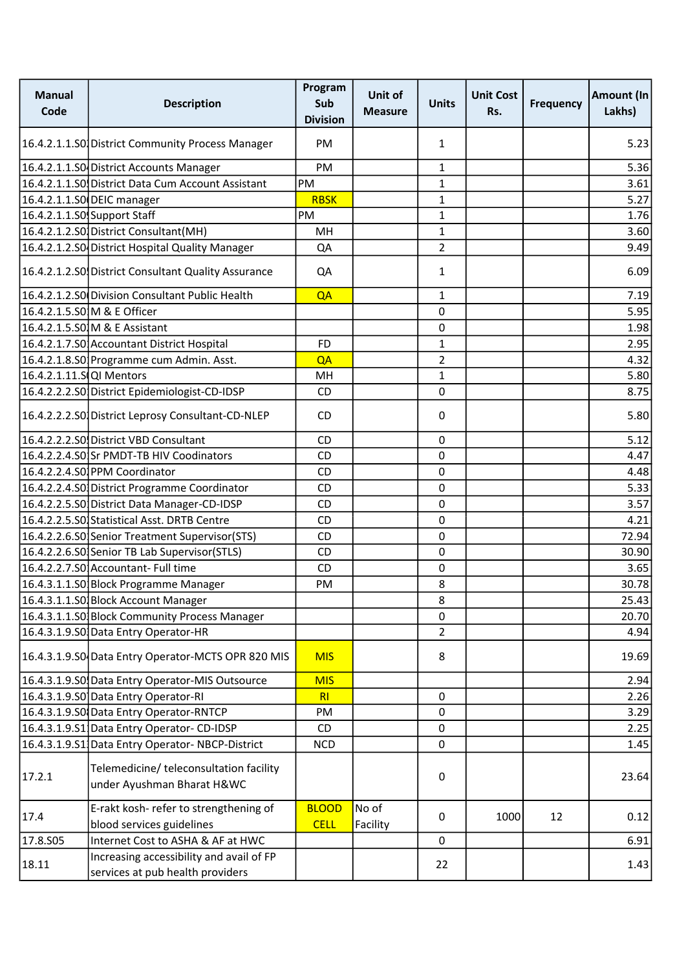| <b>Manual</b><br>Code    | <b>Description</b>                                                           | Program<br>Sub<br><b>Division</b> | Unit of<br><b>Measure</b> | <b>Units</b>   | <b>Unit Cost</b><br>Rs. | <b>Frequency</b> | <b>Amount (In</b><br>Lakhs) |
|--------------------------|------------------------------------------------------------------------------|-----------------------------------|---------------------------|----------------|-------------------------|------------------|-----------------------------|
|                          | 16.4.2.1.1.S0 District Community Process Manager                             | PM                                |                           | 1              |                         |                  | 5.23                        |
|                          | 16.4.2.1.1.SO District Accounts Manager                                      | PM                                |                           | $\mathbf{1}$   |                         |                  | 5.36                        |
|                          | 16.4.2.1.1.SO District Data Cum Account Assistant                            | PM                                |                           | 1              |                         |                  | 3.61                        |
|                          | 16.4.2.1.1.SO DEIC manager                                                   | <b>RBSK</b>                       |                           | $\mathbf{1}$   |                         |                  | 5.27                        |
|                          | 16.4.2.1.1.SO Support Staff                                                  | PM                                |                           | 1              |                         |                  | 1.76                        |
|                          | 16.4.2.1.2.S0 District Consultant (MH)                                       | MH                                |                           | 1              |                         |                  | 3.60                        |
|                          | 16.4.2.1.2.SO District Hospital Quality Manager                              | QA                                |                           | $\overline{2}$ |                         |                  | 9.49                        |
|                          | 16.4.2.1.2.SO District Consultant Quality Assurance                          | QA                                |                           | 1              |                         |                  | 6.09                        |
|                          | 16.4.2.1.2.SO Division Consultant Public Health                              | QA                                |                           | 1              |                         |                  | 7.19                        |
|                          | 16.4.2.1.5.S0 M & E Officer                                                  |                                   |                           | 0              |                         |                  | 5.95                        |
|                          | 16.4.2.1.5.SO M & E Assistant                                                |                                   |                           | 0              |                         |                  | 1.98                        |
|                          | 16.4.2.1.7.S0 Accountant District Hospital                                   | <b>FD</b>                         |                           | $\mathbf{1}$   |                         |                  | 2.95                        |
|                          | 16.4.2.1.8.S0 Programme cum Admin. Asst.                                     | QA                                |                           | $\overline{a}$ |                         |                  | 4.32                        |
| 16.4.2.1.11.S QI Mentors |                                                                              | MH                                |                           | $\mathbf{1}$   |                         |                  | 5.80                        |
|                          | 16.4.2.2.2.S0 District Epidemiologist-CD-IDSP                                | CD                                |                           | 0              |                         |                  | 8.75                        |
|                          | 16.4.2.2.2.S0 District Leprosy Consultant-CD-NLEP                            | <b>CD</b>                         |                           | 0              |                         |                  | 5.80                        |
|                          | 16.4.2.2.2.S0 District VBD Consultant                                        | CD                                |                           | 0              |                         |                  | 5.12                        |
|                          | 16.4.2.2.4.SOSr PMDT-TB HIV Coodinators                                      | <b>CD</b>                         |                           | 0              |                         |                  | 4.47                        |
|                          | 16.4.2.2.4.S0 PPM Coordinator                                                | CD                                |                           | $\mathbf 0$    |                         |                  | 4.48                        |
|                          | 16.4.2.2.4.S0 District Programme Coordinator                                 | CD                                |                           | 0              |                         |                  | 5.33                        |
|                          | 16.4.2.2.5.S0 District Data Manager-CD-IDSP                                  | <b>CD</b>                         |                           | 0              |                         |                  | 3.57                        |
|                          | 16.4.2.2.5.SO Statistical Asst. DRTB Centre                                  | CD                                |                           | $\pmb{0}$      |                         |                  | 4.21                        |
|                          | 16.4.2.2.6.S0 Senior Treatment Supervisor (STS)                              | <b>CD</b>                         |                           | 0              |                         |                  | 72.94                       |
|                          | 16.4.2.2.6.S0 Senior TB Lab Supervisor (STLS)                                | <b>CD</b>                         |                           | 0              |                         |                  | 30.90                       |
|                          | 16.4.2.2.7.S0 Accountant- Full time                                          | CD                                |                           | 0              |                         |                  | 3.65                        |
|                          | 16.4.3.1.1.S0 Block Programme Manager                                        | PM                                |                           | 8              |                         |                  | 30.78                       |
|                          | 16.4.3.1.1.50 Block Account Manager                                          |                                   |                           | 8              |                         |                  | 25.43                       |
|                          | 16.4.3.1.1.SO Block Community Process Manager                                |                                   |                           | $\mathbf 0$    |                         |                  | 20.70                       |
|                          | 16.4.3.1.9.S0 Data Entry Operator-HR                                         |                                   |                           | $\overline{2}$ |                         |                  | 4.94                        |
|                          | 16.4.3.1.9.50 Data Entry Operator-MCTS OPR 820 MIS                           | <b>MIS</b>                        |                           | 8              |                         |                  | 19.69                       |
|                          | 16.4.3.1.9.S0 Data Entry Operator-MIS Outsource                              | <b>MIS</b>                        |                           |                |                         |                  | 2.94                        |
|                          | 16.4.3.1.9.S0 Data Entry Operator-RI                                         | RI                                |                           | 0              |                         |                  | 2.26                        |
|                          | 16.4.3.1.9.SO Data Entry Operator-RNTCP                                      | PM                                |                           | 0              |                         |                  | 3.29                        |
|                          | 16.4.3.1.9.S1 Data Entry Operator-CD-IDSP                                    | <b>CD</b>                         |                           | $\mathbf 0$    |                         |                  | 2.25                        |
|                          | 16.4.3.1.9.51 Data Entry Operator-NBCP-District                              | <b>NCD</b>                        |                           | $\mathbf 0$    |                         |                  | 1.45                        |
| 17.2.1                   | Telemedicine/ teleconsultation facility<br>under Ayushman Bharat H&WC        |                                   |                           | 0              |                         |                  | 23.64                       |
| 17.4                     | E-rakt kosh- refer to strengthening of<br>blood services guidelines          | <b>BLOOD</b><br><b>CELL</b>       | No of<br>Facility         | $\mathbf 0$    | 1000                    | 12               | 0.12                        |
| 17.8.S05                 | Internet Cost to ASHA & AF at HWC                                            |                                   |                           | $\mathbf 0$    |                         |                  | 6.91                        |
| 18.11                    | Increasing accessibility and avail of FP<br>services at pub health providers |                                   |                           | 22             |                         |                  | 1.43                        |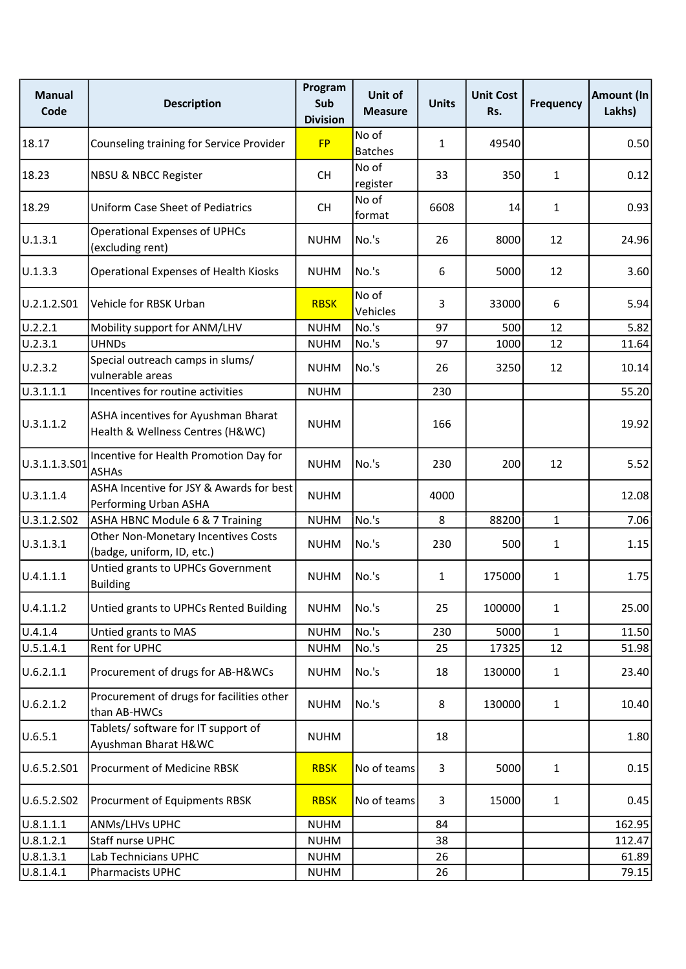| <b>Manual</b><br>Code | <b>Description</b>                                                      | Program<br>Sub<br><b>Division</b> | Unit of<br><b>Measure</b> | <b>Units</b> | <b>Unit Cost</b><br>Rs. | <b>Frequency</b> | Amount (In<br>Lakhs) |
|-----------------------|-------------------------------------------------------------------------|-----------------------------------|---------------------------|--------------|-------------------------|------------------|----------------------|
| 18.17                 | Counseling training for Service Provider                                | <b>FP</b>                         | No of<br><b>Batches</b>   | $\mathbf{1}$ | 49540                   |                  | 0.50                 |
| 18.23                 | <b>NBSU &amp; NBCC Register</b>                                         | <b>CH</b>                         | No of<br>register         | 33           | 350                     | $\mathbf{1}$     | 0.12                 |
| 18.29                 | <b>Uniform Case Sheet of Pediatrics</b>                                 | <b>CH</b>                         | No of<br>format           | 6608         | 14                      | $\mathbf{1}$     | 0.93                 |
| U.1.3.1               | <b>Operational Expenses of UPHCs</b><br>(excluding rent)                | <b>NUHM</b>                       | No.'s                     | 26           | 8000                    | 12               | 24.96                |
| U.1.3.3               | <b>Operational Expenses of Health Kiosks</b>                            | <b>NUHM</b>                       | No.'s                     | 6            | 5000                    | 12               | 3.60                 |
| U.2.1.2.S01           | Vehicle for RBSK Urban                                                  | <b>RBSK</b>                       | No of<br>Vehicles         | 3            | 33000                   | 6                | 5.94                 |
| U.2.2.1               | Mobility support for ANM/LHV                                            | <b>NUHM</b>                       | No.'s                     | 97           | 500                     | 12               | 5.82                 |
| U.2.3.1               | <b>UHNDs</b>                                                            | <b>NUHM</b>                       | No.'s                     | 97           | 1000                    | 12               | 11.64                |
| U.2.3.2               | Special outreach camps in slums/<br>vulnerable areas                    | <b>NUHM</b>                       | No.'s                     | 26           | 3250                    | 12               | 10.14                |
| U.3.1.1.1             | Incentives for routine activities                                       | <b>NUHM</b>                       |                           | 230          |                         |                  | 55.20                |
| U.3.1.1.2             | ASHA incentives for Ayushman Bharat<br>Health & Wellness Centres (H&WC) | <b>NUHM</b>                       |                           | 166          |                         |                  | 19.92                |
| U.3.1.1.3.501         | Incentive for Health Promotion Day for<br><b>ASHAs</b>                  | <b>NUHM</b>                       | No.'s                     | 230          | 200                     | 12               | 5.52                 |
| U.3.1.1.4             | ASHA Incentive for JSY & Awards for best<br>Performing Urban ASHA       | <b>NUHM</b>                       |                           | 4000         |                         |                  | 12.08                |
| U.3.1.2.S02           | ASHA HBNC Module 6 & 7 Training                                         | <b>NUHM</b>                       | No.'s                     | 8            | 88200                   | $\mathbf{1}$     | 7.06                 |
| U.3.1.3.1             | Other Non-Monetary Incentives Costs<br>(badge, uniform, ID, etc.)       | <b>NUHM</b>                       | No.'s                     | 230          | 500                     | 1                | 1.15                 |
| U.4.1.1.1             | Untied grants to UPHCs Government<br><b>Building</b>                    | <b>NUHM</b>                       | No.'s                     | $\mathbf{1}$ | 175000                  | $\mathbf{1}$     | 1.75                 |
| U.4.1.1.2             | Untied grants to UPHCs Rented Building                                  | <b>NUHM</b>                       | No.'s                     | 25           | 100000                  | $\mathbf{1}$     | 25.00                |
| U.4.1.4               | Untied grants to MAS                                                    | <b>NUHM</b>                       | No.'s                     | 230          | 5000                    | $\mathbf{1}$     | 11.50                |
| U.5.1.4.1             | Rent for UPHC                                                           | <b>NUHM</b>                       | No.'s                     | 25           | 17325                   | 12               | 51.98                |
| U.6.2.1.1             | Procurement of drugs for AB-H&WCs                                       | <b>NUHM</b>                       | No.'s                     | 18           | 130000                  | $\mathbf{1}$     | 23.40                |
| U.6.2.1.2             | Procurement of drugs for facilities other<br>than AB-HWCs               | <b>NUHM</b>                       | No.'s                     | 8            | 130000                  | $\mathbf{1}$     | 10.40                |
| U.6.5.1               | Tablets/ software for IT support of<br>Ayushman Bharat H&WC             | <b>NUHM</b>                       |                           | 18           |                         |                  | 1.80                 |
| U.6.5.2.501           | Procurment of Medicine RBSK                                             | <b>RBSK</b>                       | No of teams               | 3            | 5000                    | $\mathbf{1}$     | 0.15                 |
| U.6.5.2.502           | Procurment of Equipments RBSK                                           | <b>RBSK</b>                       | No of teams               | 3            | 15000                   | $\mathbf{1}$     | 0.45                 |
| U.8.1.1.1             | ANMs/LHVs UPHC                                                          | <b>NUHM</b>                       |                           | 84           |                         |                  | 162.95               |
| U.8.1.2.1             | Staff nurse UPHC                                                        | <b>NUHM</b>                       |                           | 38           |                         |                  | 112.47               |
| U.8.1.3.1             | Lab Technicians UPHC                                                    | <b>NUHM</b>                       |                           | 26           |                         |                  | 61.89                |
| U.8.1.4.1             | Pharmacists UPHC                                                        | <b>NUHM</b>                       |                           | 26           |                         |                  | 79.15                |